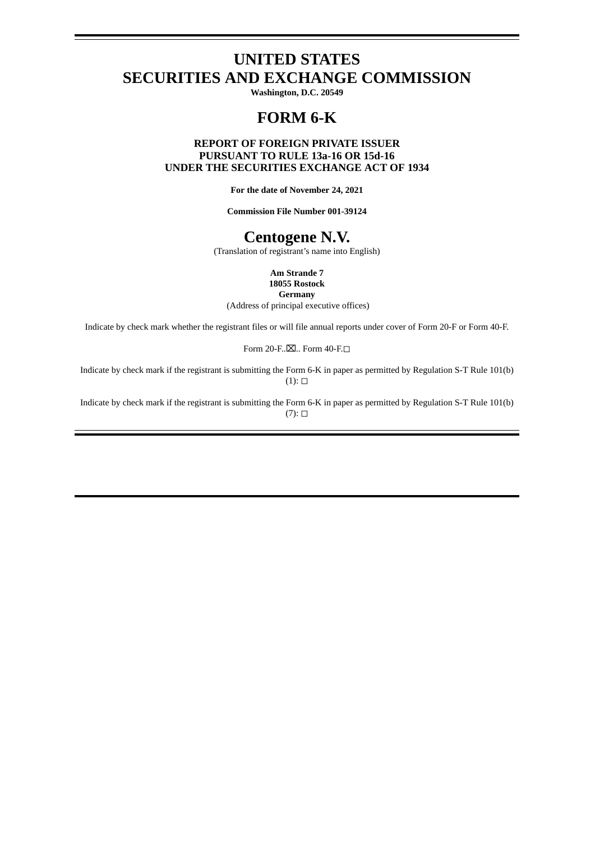# **UNITED STATES SECURITIES AND EXCHANGE COMMISSION**

**Washington, D.C. 20549**

# **FORM 6-K**

# **REPORT OF FOREIGN PRIVATE ISSUER PURSUANT TO RULE 13a-16 OR 15d-16 UNDER THE SECURITIES EXCHANGE ACT OF 1934**

**For the date of November 24, 2021**

**Commission File Number 001-39124**

# **Centogene N.V.**

(Translation of registrant's name into English)

**Am Strande 7 18055 Rostock**

**Germany**

(Address of principal executive offices)

Indicate by check mark whether the registrant files or will file annual reports under cover of Form 20-F or Form 40-F.

Form 20-F..⊠.. Form 40-F.□

Indicate by check mark if the registrant is submitting the Form 6-K in paper as permitted by Regulation S-T Rule 101(b)  $(1): \Box$ 

Indicate by check mark if the registrant is submitting the Form 6-K in paper as permitted by Regulation S-T Rule 101(b)  $(7)$ :  $\square$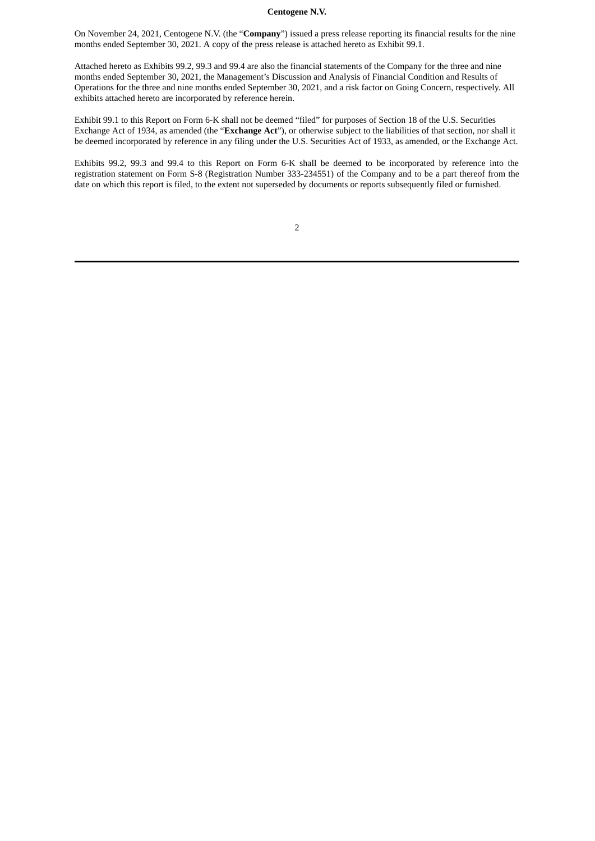## **Centogene N.V.**

On November 24, 2021, Centogene N.V. (the "**Company**") issued a press release reporting its financial results for the nine months ended September 30, 2021. A copy of the press release is attached hereto as Exhibit 99.1.

Attached hereto as Exhibits 99.2, 99.3 and 99.4 are also the financial statements of the Company for the three and nine months ended September 30, 2021, the Management's Discussion and Analysis of Financial Condition and Results of Operations for the three and nine months ended September 30, 2021, and a risk factor on Going Concern, respectively. All exhibits attached hereto are incorporated by reference herein.

Exhibit 99.1 to this Report on Form 6-K shall not be deemed "filed" for purposes of Section 18 of the U.S. Securities Exchange Act of 1934, as amended (the "**Exchange Act**"), or otherwise subject to the liabilities of that section, nor shall it be deemed incorporated by reference in any filing under the U.S. Securities Act of 1933, as amended, or the Exchange Act.

Exhibits 99.2, 99.3 and 99.4 to this Report on Form 6-K shall be deemed to be incorporated by reference into the registration statement on Form S-8 (Registration Number 333-234551) of the Company and to be a part thereof from the date on which this report is filed, to the extent not superseded by documents or reports subsequently filed or furnished.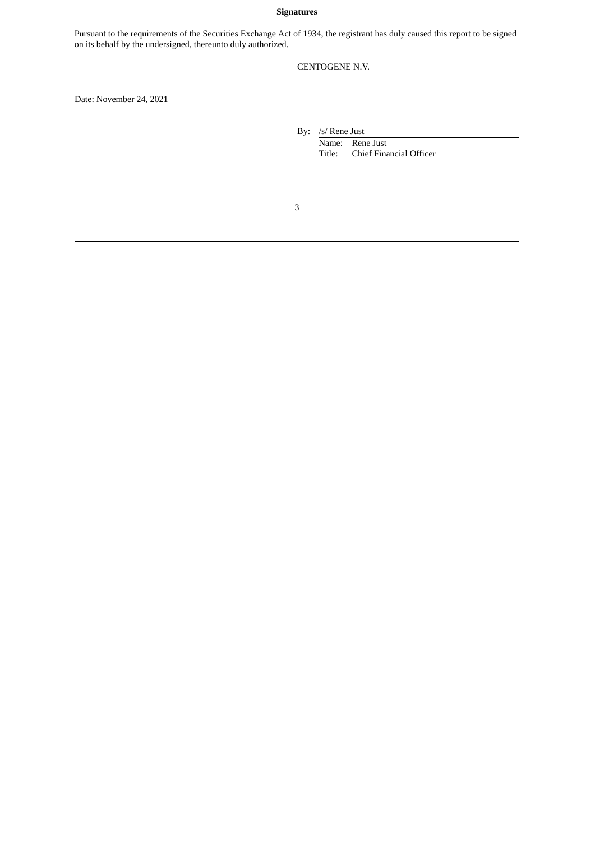# **Signatures**

Pursuant to the requirements of the Securities Exchange Act of 1934, the registrant has duly caused this report to be signed on its behalf by the undersigned, thereunto duly authorized.

# CENTOGENE N.V.

Date: November 24, 2021

By: /s/ Rene Just

Name: Rene Just Title: Chief Financial Officer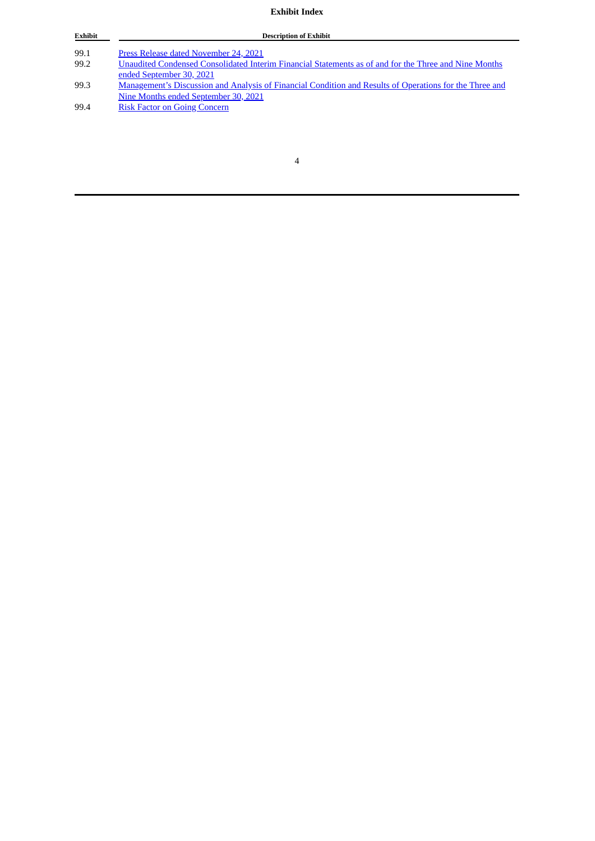# **Exhibit Index**

| <b>Exhibit</b> | <b>Description of Exhibit</b>                                                                                  |
|----------------|----------------------------------------------------------------------------------------------------------------|
|                |                                                                                                                |
| 99.1           | Press Release dated November 24, 2021                                                                          |
| 99.2           | Unaudited Condensed Consolidated Interim Financial Statements as of and for the Three and Nine Months          |
|                | ended September 30, 2021                                                                                       |
| 99.3           | <u>Management's Discussion and Analysis of Financial Condition and Results of Operations for the Three and</u> |
|                | Nine Months ended September 30, 2021                                                                           |
| 99.4           | <b>Risk Factor on Going Concern</b>                                                                            |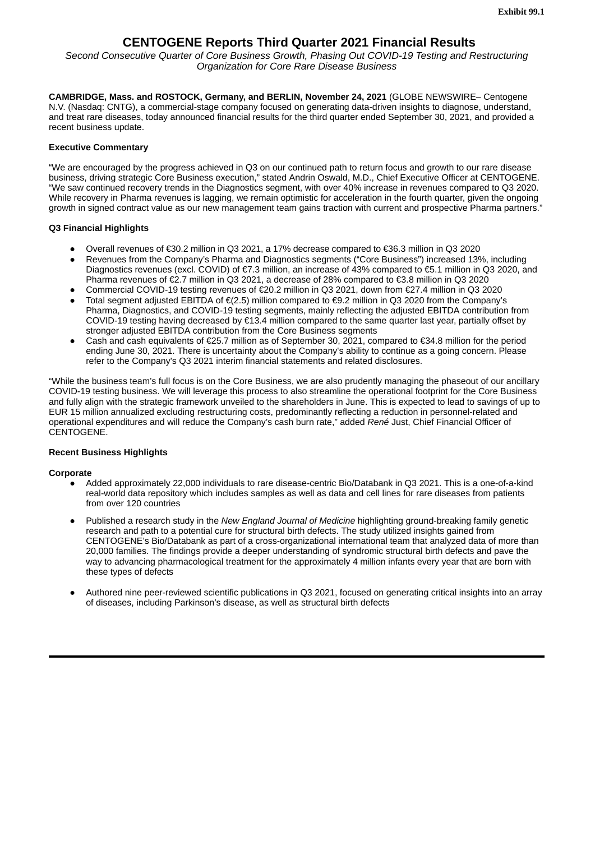# **CENTOGENE Reports Third Quarter 2021 Financial Results**

<span id="page-4-0"></span>*Second Consecutive Quarter of Core Business Growth, Phasing Out COVID-19 Testing and Restructuring Organization for Core Rare Disease Business*

**CAMBRIDGE, Mass. and ROSTOCK, Germany, and BERLIN, November 24, 2021** (GLOBE NEWSWIRE– Centogene N.V. (Nasdaq: CNTG), a commercial-stage company focused on generating data-driven insights to diagnose, understand, and treat rare diseases, today announced financial results for the third quarter ended September 30, 2021, and provided a recent business update.

# **Executive Commentary**

"We are encouraged by the progress achieved in Q3 on our continued path to return focus and growth to our rare disease business, driving strategic Core Business execution," stated Andrin Oswald, M.D., Chief Executive Officer at CENTOGENE. "We saw continued recovery trends in the Diagnostics segment, with over 40% increase in revenues compared to Q3 2020. While recovery in Pharma revenues is lagging, we remain optimistic for acceleration in the fourth quarter, given the ongoing growth in signed contract value as our new management team gains traction with current and prospective Pharma partners."

# **Q3 Financial Highlights**

- Overall revenues of €30.2 million in Q3 2021, a 17% decrease compared to €36.3 million in Q3 2020
- Revenues from the Company's Pharma and Diagnostics segments ("Core Business") increased 13%, including Diagnostics revenues (excl. COVID) of €7.3 million, an increase of 43% compared to €5.1 million in Q3 2020, and Pharma revenues of €2.7 million in Q3 2021, a decrease of 28% compared to €3.8 million in Q3 2020
- Commercial COVID-19 testing revenues of €20.2 million in Q3 2021, down from €27.4 million in Q3 2020
- Total segment adjusted EBITDA of €(2.5) million compared to €9.2 million in O3 2020 from the Company's Pharma, Diagnostics, and COVID-19 testing segments, mainly reflecting the adjusted EBITDA contribution from COVID-19 testing having decreased by €13.4 million compared to the same quarter last year, partially offset by stronger adjusted EBITDA contribution from the Core Business segments
- Cash and cash equivalents of €25.7 million as of September 30, 2021, compared to €34.8 million for the period ending June 30, 2021. There is uncertainty about the Company's ability to continue as a going concern. Please refer to the Company's Q3 2021 interim financial statements and related disclosures.

"While the business team's full focus is on the Core Business, we are also prudently managing the phaseout of our ancillary COVID-19 testing business. We will leverage this process to also streamline the operational footprint for the Core Business and fully align with the strategic framework unveiled to the shareholders in June. This is expected to lead to savings of up to EUR 15 million annualized excluding restructuring costs, predominantly reflecting a reduction in personnel-related and operational expenditures and will reduce the Company's cash burn rate," added *René* Just, Chief Financial Officer of CENTOGENE.

# **Recent Business Highlights**

## **Corporate**

- Added approximately 22,000 individuals to rare disease-centric Bio/Databank in Q3 2021. This is a one-of-a-kind real-world data repository which includes samples as well as data and cell lines for rare diseases from patients from over 120 countries
- Published a research study in the *New England Journal of Medicine* highlighting ground-breaking family genetic research and path to a potential cure for structural birth defects. The study utilized insights gained from CENTOGENE's Bio/Databank as part of a cross-organizational international team that analyzed data of more than 20,000 families. The findings provide a deeper understanding of syndromic structural birth defects and pave the way to advancing pharmacological treatment for the approximately 4 million infants every year that are born with these types of defects
- Authored nine peer-reviewed scientific publications in O3 2021, focused on generating critical insights into an array of diseases, including Parkinson's disease, as well as structural birth defects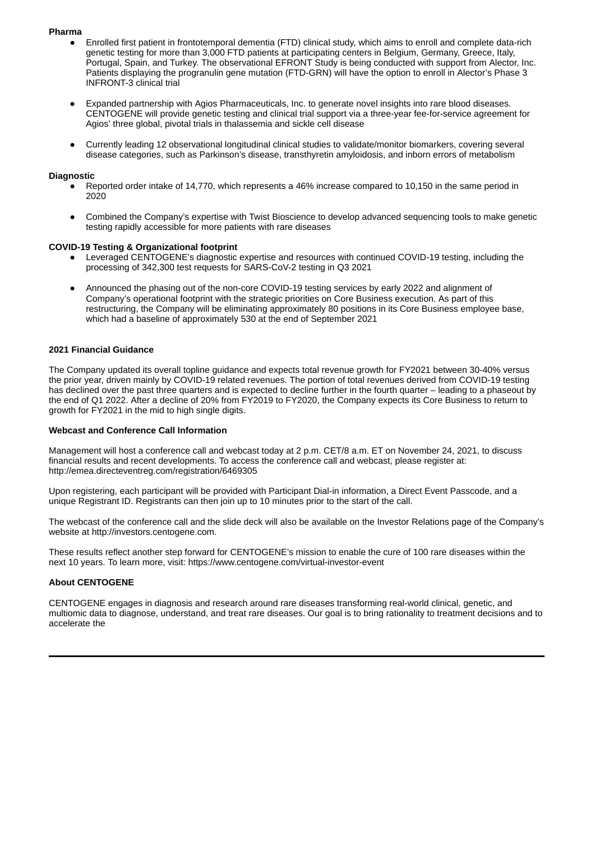### **Pharma**

- Enrolled first patient in frontotemporal dementia (FTD) clinical study, which aims to enroll and complete data-rich genetic testing for more than 3,000 FTD patients at participating centers in Belgium, Germany, Greece, Italy, Portugal, Spain, and Turkey. The observational EFRONT Study is being conducted with support from Alector, Inc. Patients displaying the progranulin gene mutation (FTD-GRN) will have the option to enroll in Alector's Phase 3 INFRONT-3 clinical trial
- Expanded partnership with Agios Pharmaceuticals, Inc. to generate novel insights into rare blood diseases. CENTOGENE will provide genetic testing and clinical trial support via a three-year fee-for-service agreement for Agios' three global, pivotal trials in thalassemia and sickle cell disease
- Currently leading 12 observational longitudinal clinical studies to validate/monitor biomarkers, covering several disease categories, such as Parkinson's disease, transthyretin amyloidosis, and inborn errors of metabolism

#### **Diagnostic**

- Reported order intake of 14,770, which represents a 46% increase compared to 10,150 in the same period in 2020
- Combined the Company's expertise with Twist Bioscience to develop advanced sequencing tools to make genetic testing rapidly accessible for more patients with rare diseases

#### **COVID-19 Testing & Organizational footprint**

- Leveraged CENTOGENE's diagnostic expertise and resources with continued COVID-19 testing, including the processing of 342,300 test requests for SARS-CoV-2 testing in Q3 2021
- Announced the phasing out of the non-core COVID-19 testing services by early 2022 and alignment of Company's operational footprint with the strategic priorities on Core Business execution. As part of this restructuring, the Company will be eliminating approximately 80 positions in its Core Business employee base, which had a baseline of approximately 530 at the end of September 2021

#### **2021 Financial Guidance**

The Company updated its overall topline guidance and expects total revenue growth for FY2021 between 30-40% versus the prior year, driven mainly by COVID-19 related revenues. The portion of total revenues derived from COVID-19 testing has declined over the past three quarters and is expected to decline further in the fourth quarter – leading to a phaseout by the end of Q1 2022. After a decline of 20% from FY2019 to FY2020, the Company expects its Core Business to return to growth for FY2021 in the mid to high single digits.

#### **Webcast and Conference Call Information**

Management will host a conference call and webcast today at 2 p.m. CET/8 a.m. ET on November 24, 2021, to discuss financial results and recent developments. To access the conference call and webcast, please register at: http://emea.directeventreg.com/registration/6469305

Upon registering, each participant will be provided with Participant Dial-in information, a Direct Event Passcode, and a unique Registrant ID. Registrants can then join up to 10 minutes prior to the start of the call.

The webcast of the conference call and the slide deck will also be available on the Investor Relations page of the Company's website at http://investors.centogene.com.

These results reflect another step forward for CENTOGENE's mission to enable the cure of 100 rare diseases within the next 10 years. To learn more, visit: https://www.centogene.com/virtual-investor-event

## **About CENTOGENE**

CENTOGENE engages in diagnosis and research around rare diseases transforming real-world clinical, genetic, and multiomic data to diagnose, understand, and treat rare diseases. Our goal is to bring rationality to treatment decisions and to accelerate the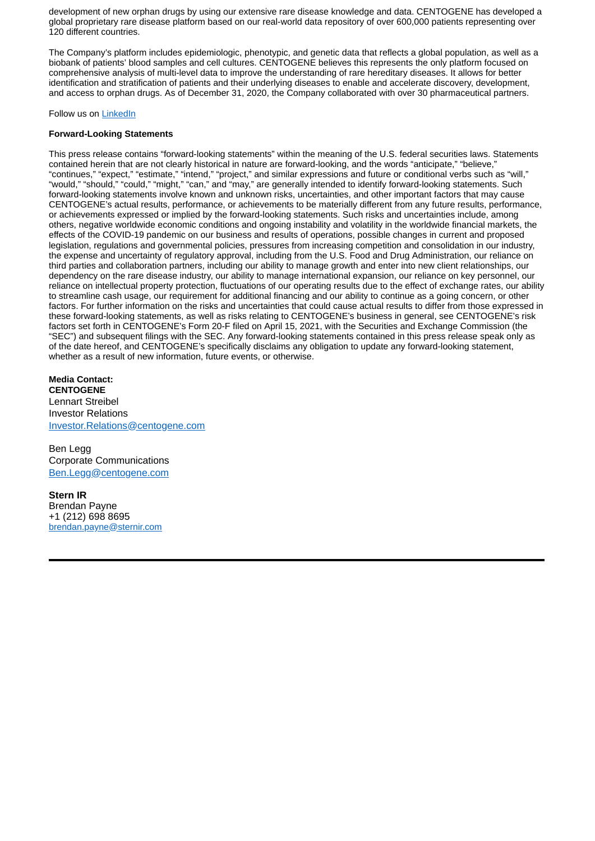development of new orphan drugs by using our extensive rare disease knowledge and data. CENTOGENE has developed a global proprietary rare disease platform based on our real-world data repository of over 600,000 patients representing over 120 different countries.

The Company's platform includes epidemiologic, phenotypic, and genetic data that reflects a global population, as well as a biobank of patients' blood samples and cell cultures. CENTOGENE believes this represents the only platform focused on comprehensive analysis of multi-level data to improve the understanding of rare hereditary diseases. It allows for better identification and stratification of patients and their underlying diseases to enable and accelerate discovery, development, and access to orphan drugs. As of December 31, 2020, the Company collaborated with over 30 pharmaceutical partners.

## Follow us on LinkedIn

## **Forward-Looking Statements**

This press release contains "forward-looking statements" within the meaning of the U.S. federal securities laws. Statements contained herein that are not clearly historical in nature are forward-looking, and the words "anticipate," "believe," "continues," "expect," "estimate," "intend," "project," and similar expressions and future or conditional verbs such as "will," "would," "should," "could," "might," "can," and "may," are generally intended to identify forward-looking statements. Such forward-looking statements involve known and unknown risks, uncertainties, and other important factors that may cause CENTOGENE's actual results, performance, or achievements to be materially different from any future results, performance, or achievements expressed or implied by the forward-looking statements. Such risks and uncertainties include, among others, negative worldwide economic conditions and ongoing instability and volatility in the worldwide financial markets, the effects of the COVID-19 pandemic on our business and results of operations, possible changes in current and proposed legislation, regulations and governmental policies, pressures from increasing competition and consolidation in our industry, the expense and uncertainty of regulatory approval, including from the U.S. Food and Drug Administration, our reliance on third parties and collaboration partners, including our ability to manage growth and enter into new client relationships, our dependency on the rare disease industry, our ability to manage international expansion, our reliance on key personnel, our reliance on intellectual property protection, fluctuations of our operating results due to the effect of exchange rates, our ability to streamline cash usage, our requirement for additional financing and our ability to continue as a going concern, or other factors. For further information on the risks and uncertainties that could cause actual results to differ from those expressed in these forward-looking statements, as well as risks relating to CENTOGENE's business in general, see CENTOGENE's risk factors set forth in CENTOGENE's Form 20-F filed on April 15, 2021, with the Securities and Exchange Commission (the "SEC") and subsequent filings with the SEC. Any forward-looking statements contained in this press release speak only as of the date hereof, and CENTOGENE's specifically disclaims any obligation to update any forward-looking statement, whether as a result of new information, future events, or otherwise.

**Media Contact: CENTOGENE** Lennart Streibel Investor Relations Investor.Relations@centogene.com

Ben Legg Corporate Communications Ben.Legg@centogene.com

**Stern IR** Brendan Payne +1 (212) 698 8695 brendan.payne@sternir.com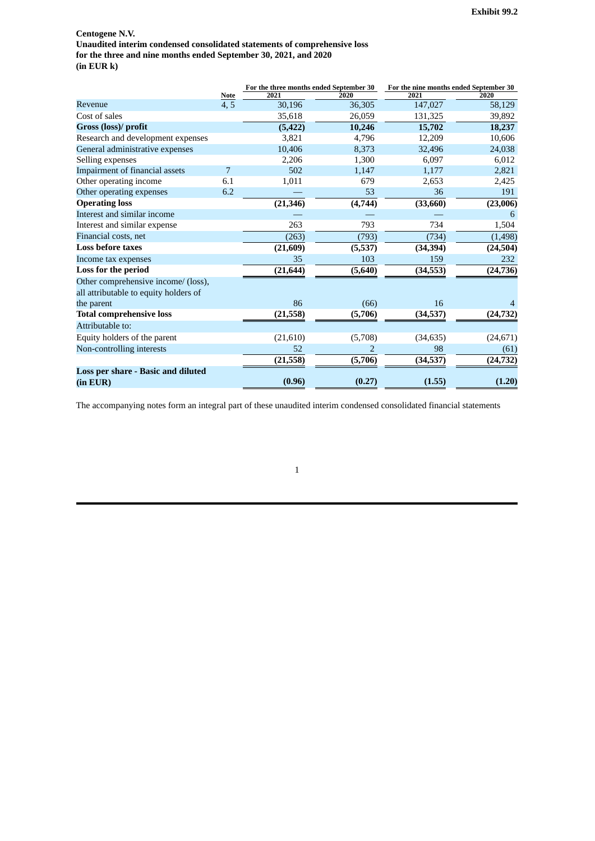<span id="page-7-0"></span>**Centogene N.V. Unaudited interim condensed consolidated statements of comprehensive loss for the three and nine months ended September 30, 2021, and 2020 (in EUR k)**

|                                           |             | For the three months ended September 30 |         | For the nine months ended September 30 |           |
|-------------------------------------------|-------------|-----------------------------------------|---------|----------------------------------------|-----------|
|                                           | <b>Note</b> | 2021                                    | 2020    | 2021                                   | 2020      |
| Revenue                                   | 4, 5        | 30,196                                  | 36,305  | 147,027                                | 58,129    |
| Cost of sales                             |             | 35,618                                  | 26,059  | 131,325                                | 39,892    |
| Gross (loss)/ profit                      |             | (5, 422)                                | 10,246  | 15,702                                 | 18,237    |
| Research and development expenses         |             | 3,821                                   | 4,796   | 12,209                                 | 10,606    |
| General administrative expenses           |             | 10,406                                  | 8,373   | 32,496                                 | 24,038    |
| Selling expenses                          |             | 2,206                                   | 1,300   | 6,097                                  | 6,012     |
| Impairment of financial assets            | 7           | 502                                     | 1,147   | 1,177                                  | 2,821     |
| Other operating income                    | 6.1         | 1,011                                   | 679     | 2,653                                  | 2,425     |
| Other operating expenses                  | 6.2         |                                         | 53      | 36                                     | 191       |
| <b>Operating loss</b>                     |             | (21, 346)                               | (4,744) | (33,660)                               | (23,006)  |
| Interest and similar income               |             |                                         |         |                                        | 6         |
| Interest and similar expense              |             | 263                                     | 793     | 734                                    | 1,504     |
| Financial costs, net                      |             | (263)                                   | (793)   | (734)                                  | (1, 498)  |
| <b>Loss before taxes</b>                  |             | (21, 609)                               | (5,537) | (34, 394)                              | (24, 504) |
| Income tax expenses                       |             | 35                                      | 103     | 159                                    | 232       |
| Loss for the period                       |             | (21, 644)                               | (5,640) | (34, 553)                              | (24, 736) |
| Other comprehensive income/ (loss),       |             |                                         |         |                                        |           |
| all attributable to equity holders of     |             |                                         |         |                                        |           |
| the parent                                |             | 86                                      | (66)    | 16                                     | 4         |
| <b>Total comprehensive loss</b>           |             | (21, 558)                               | (5,706) | (34, 537)                              | (24, 732) |
| Attributable to:                          |             |                                         |         |                                        |           |
| Equity holders of the parent              |             | (21,610)                                | (5,708) | (34, 635)                              | (24, 671) |
| Non-controlling interests                 |             | 52                                      | 2       | 98                                     | (61)      |
|                                           |             | (21, 558)                               | (5,706) | (34, 537)                              | (24, 732) |
| <b>Loss per share - Basic and diluted</b> |             |                                         |         |                                        |           |
| (in EUR)                                  |             | (0.96)                                  | (0.27)  | (1.55)                                 | (1.20)    |

The accompanying notes form an integral part of these unaudited interim condensed consolidated financial statements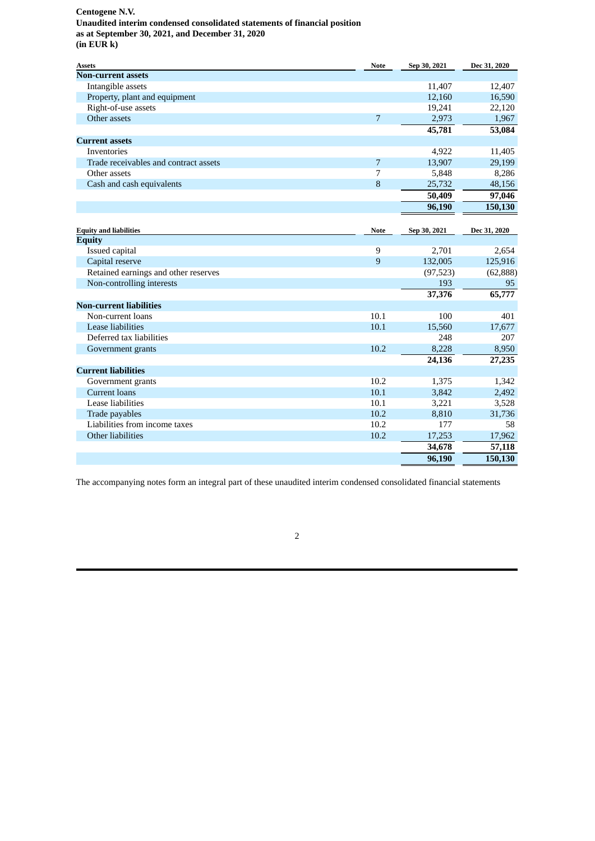## **Centogene N.V. Unaudited interim condensed consolidated statements of financial position as at September 30, 2021, and December 31, 2020 (in EUR k)**

| Assets                                | <b>Note</b>    | Sep 30, 2021 | Dec 31, 2020 |
|---------------------------------------|----------------|--------------|--------------|
| <b>Non-current assets</b>             |                |              |              |
| Intangible assets                     |                | 11,407       | 12,407       |
| Property, plant and equipment         |                | 12,160       | 16,590       |
| Right-of-use assets                   |                | 19,241       | 22,120       |
| Other assets                          | $\overline{7}$ | 2,973        | 1,967        |
|                                       |                | 45,781       | 53,084       |
| <b>Current assets</b>                 |                |              |              |
| Inventories                           |                | 4,922        | 11,405       |
| Trade receivables and contract assets | 7              | 13,907       | 29,199       |
| Other assets                          | 7              | 5,848        | 8,286        |
| Cash and cash equivalents             | 8              | 25,732       | 48,156       |
|                                       |                | 50,409       | 97,046       |
|                                       |                | 96,190       | 150,130      |
|                                       |                |              |              |
| <b>Equity and liabilities</b>         | <b>Note</b>    | Sep 30, 2021 | Dec 31, 2020 |
| <b>Equity</b>                         |                |              |              |
| Issued capital                        | 9              | 2,701        | 2,654        |
| Capital reserve                       | 9              | 132,005      | 125,916      |
| Retained earnings and other reserves  |                | (97, 523)    | (62, 888)    |
| Non-controlling interests             |                | 193          | 95           |
|                                       |                | 37,376       | 65,777       |
| <b>Non-current liabilities</b>        |                |              |              |
| Non-current loans                     | 10.1           | 100          | 401          |
| Lease liabilities                     | 10.1           | 15,560       | 17,677       |
| Deferred tax liabilities              |                | 248          | 207          |
| Government grants                     | 10.2           | 8,228        | 8,950        |
|                                       |                | 24,136       | 27,235       |
| <b>Current liabilities</b>            |                |              |              |
| Government grants                     | 10.2           | 1,375        | 1,342        |
| <b>Current loans</b>                  | 10.1           | 3,842        | 2,492        |
| Lease liabilities                     | 10.1           | 3,221        | 3,528        |
| Trade payables                        | 10.2           | 8,810        | 31,736       |
| Liabilities from income taxes         | 10.2           | 177          | 58           |
| Other liabilities                     | 10.2           | 17,253       | 17,962       |
|                                       |                | 34,678       | 57,118       |
|                                       |                | 96,190       | 150,130      |

The accompanying notes form an integral part of these unaudited interim condensed consolidated financial statements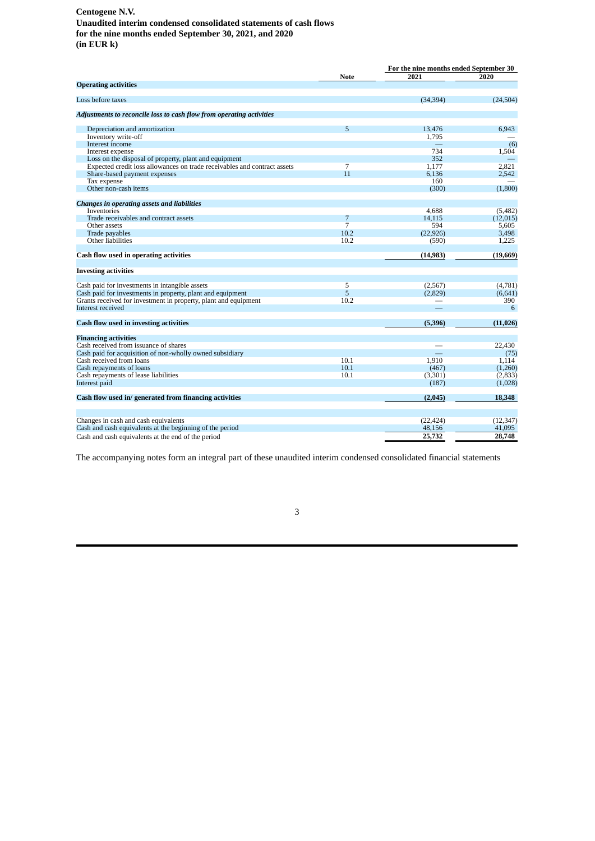# **Centogene N.V.**

**Unaudited interim condensed consolidated statements of cash flows for the nine months ended September 30, 2021, and 2020 (in EUR k)**

|                                                                          |      |           | For the nine months ended September 30 |  |  |
|--------------------------------------------------------------------------|------|-----------|----------------------------------------|--|--|
|                                                                          | Note | 2021      | 2020                                   |  |  |
| <b>Operating activities</b>                                              |      |           |                                        |  |  |
| Loss before taxes                                                        |      | (34, 394) | (24, 504)                              |  |  |
| Adjustments to reconcile loss to cash flow from operating activities     |      |           |                                        |  |  |
| Depreciation and amortization                                            | 5    | 13,476    | 6,943                                  |  |  |
| Inventory write-off                                                      |      | 1,795     |                                        |  |  |
| Interest income                                                          |      |           | (6)                                    |  |  |
| Interest expense                                                         |      | 734       | 1,504                                  |  |  |
| Loss on the disposal of property, plant and equipment                    |      | 352       |                                        |  |  |
| Expected credit loss allowances on trade receivables and contract assets | 7    | 1,177     | 2,821                                  |  |  |
| Share-based payment expenses                                             | 11   | 6.136     | 2,542                                  |  |  |
| Tax expense                                                              |      | 160       |                                        |  |  |
| Other non-cash items                                                     |      | (300)     | (1,800)                                |  |  |
|                                                                          |      |           |                                        |  |  |
| <b>Changes in operating assets and liabilities</b>                       |      |           |                                        |  |  |
| <b>Inventories</b>                                                       |      | 4.688     | (5,482)                                |  |  |
| Trade receivables and contract assets                                    | 7    | 14,115    | (12, 015)                              |  |  |
| Other assets                                                             | 7    | 594       | 5,605                                  |  |  |
| Trade payables                                                           | 10.2 | (22, 926) | 3,498                                  |  |  |
| Other liabilities                                                        | 10.2 | (590)     | 1,225                                  |  |  |
| Cash flow used in operating activities                                   |      | (14, 983) | (19,669)                               |  |  |
| <b>Investing activities</b>                                              |      |           |                                        |  |  |
|                                                                          |      |           |                                        |  |  |
| Cash paid for investments in intangible assets                           | 5    | (2, 567)  | (4,781)                                |  |  |
| Cash paid for investments in property, plant and equipment               | 5    | (2,829)   | (6,641)                                |  |  |
| Grants received for investment in property, plant and equipment          | 10.2 |           | 390                                    |  |  |
| Interest received                                                        |      |           | 6                                      |  |  |
| Cash flow used in investing activities                                   |      | (5,396)   | (11, 026)                              |  |  |
|                                                                          |      |           |                                        |  |  |
| <b>Financing activities</b>                                              |      |           |                                        |  |  |
| Cash received from issuance of shares                                    |      |           | 22,430                                 |  |  |
| Cash paid for acquisition of non-wholly owned subsidiary                 |      |           | (75)                                   |  |  |
| Cash received from loans                                                 | 10.1 | 1.910     | 1,114                                  |  |  |
| Cash repayments of loans                                                 | 10.1 | (467)     | (1,260)                                |  |  |
| Cash repayments of lease liabilities                                     | 10.1 | (3,301)   | (2,833)                                |  |  |
| Interest paid                                                            |      | (187)     | (1,028)                                |  |  |
| Cash flow used in/generated from financing activities                    |      | (2,045)   | 18,348                                 |  |  |
|                                                                          |      |           |                                        |  |  |
| Changes in cash and cash equivalents                                     |      | (22, 424) | (12, 347)                              |  |  |
| Cash and cash equivalents at the beginning of the period                 |      | 48,156    | 41.095                                 |  |  |
| Cash and cash equivalents at the end of the period                       |      | 25,732    | 28,748                                 |  |  |

The accompanying notes form an integral part of these unaudited interim condensed consolidated financial statements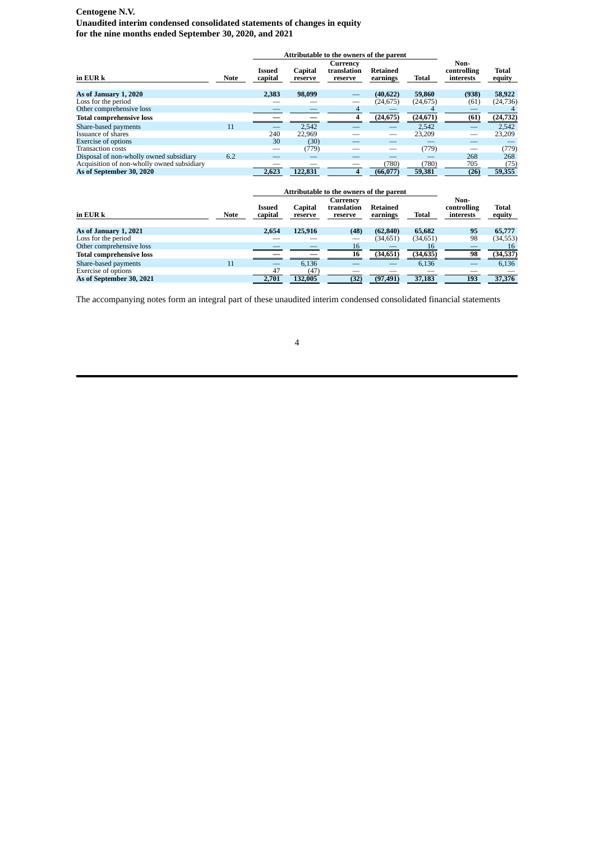# **Centogene N.V.**

**Unaudited interim condensed consolidated statements of changes in equity for the nine months ended September 30, 2020, and 2021**

|                                            |             |                          | Attributable to the owners of the parent |                                    |                      |           |                                  |                 |
|--------------------------------------------|-------------|--------------------------|------------------------------------------|------------------------------------|----------------------|-----------|----------------------------------|-----------------|
| in EUR k                                   | <b>Note</b> | <b>Issued</b><br>capital | Capital<br>reserve                       | Currency<br>translation<br>reserve | Retained<br>earnings | Total     | Non-<br>controlling<br>interests | Total<br>equity |
| As of January 1, 2020                      |             | 2,383                    | 98,099                                   |                                    | (40,622)             | 59,860    | (938)                            | 58,922          |
| Loss for the period                        |             |                          |                                          |                                    | (24, 675)            | (24, 675) | (61)                             | (24, 736)       |
| Other comprehensive loss                   |             |                          |                                          | 4                                  |                      |           |                                  |                 |
| <b>Total comprehensive loss</b>            |             |                          |                                          |                                    | (24, 675)            | (24, 671) | (61)                             | (24, 732)       |
| Share-based payments                       | 11          |                          | 2,542                                    |                                    |                      | 2,542     |                                  | 2,542           |
| Issuance of shares                         |             | 240                      | 22,969                                   |                                    |                      | 23,209    |                                  | 23.209          |
| <b>Exercise of options</b>                 |             | 30                       | (30)                                     |                                    |                      |           |                                  |                 |
| <b>Transaction costs</b>                   |             |                          | (779)                                    |                                    |                      | (779)     |                                  | (779)           |
| Disposal of non-wholly owned subsidiary    | 6.2         |                          |                                          |                                    |                      |           | 268                              | 268             |
| Acquisition of non-wholly owned subsidiary |             |                          |                                          |                                    | (780)                | (780)     | 705                              | (75)            |
| As of September 30, 2020                   |             | 2.623                    | 122,831                                  | 4                                  | (66, 077)            | 59,381    | (26)                             | 59,355          |

|                                 |             |                          | Attributable to the owners of the parent |                                    |                      |           |                                  |                        |
|---------------------------------|-------------|--------------------------|------------------------------------------|------------------------------------|----------------------|-----------|----------------------------------|------------------------|
| in EUR k                        | <b>Note</b> | <b>Issued</b><br>capital | Capital<br>reserve                       | Currency<br>translation<br>reserve | Retained<br>earnings | Total     | Non-<br>controlling<br>interests | <b>Total</b><br>equity |
| As of January 1, 2021           |             | 2.654                    | 125,916                                  | (48)                               | (62, 840)            | 65,682    | 95                               | 65,777                 |
| Loss for the period             |             |                          |                                          |                                    | (34,651)             | (34,651)  | 98                               | (34, 553)              |
| Other comprehensive loss        |             |                          |                                          | 16                                 |                      | 16        |                                  | 16                     |
| <b>Total comprehensive loss</b> |             |                          |                                          | 16                                 | (34, 651)            | (34, 635) | 98                               | (34, 537)              |
| Share-based payments            | 11          |                          | 6.136                                    |                                    |                      | 6,136     |                                  | 6,136                  |
| <b>Exercise of options</b>      |             | 47                       | (47)                                     |                                    |                      |           |                                  |                        |
| As of September 30, 2021        |             | 2,701                    | 132,005                                  | (32)                               | (97, 491)            | 37,183    | 193                              | 37,376                 |

The accompanying notes form an integral part of these unaudited interim condensed consolidated financial statements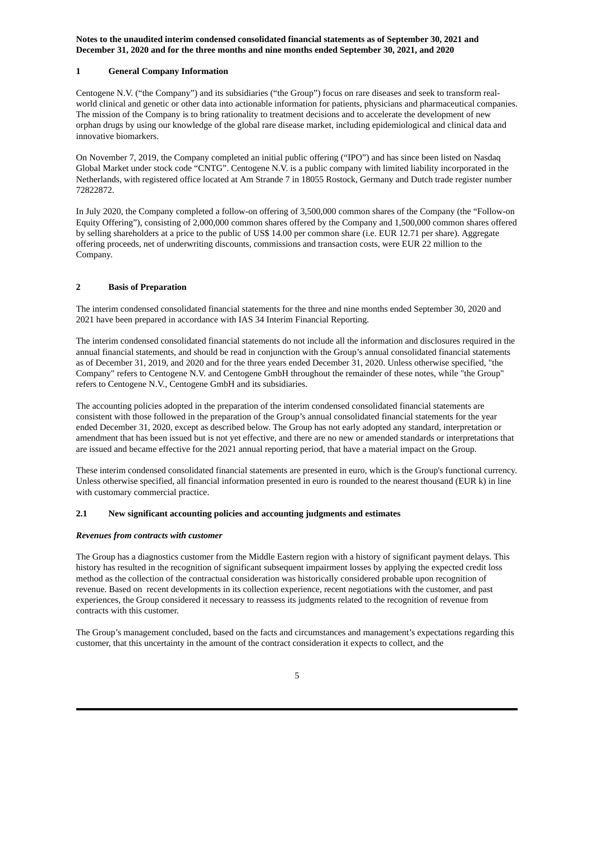## **1 General Company Information**

Centogene N.V. ("the Company") and its subsidiaries ("the Group") focus on rare diseases and seek to transform realworld clinical and genetic or other data into actionable information for patients, physicians and pharmaceutical companies. The mission of the Company is to bring rationality to treatment decisions and to accelerate the development of new orphan drugs by using our knowledge of the global rare disease market, including epidemiological and clinical data and innovative biomarkers.

On November 7, 2019, the Company completed an initial public offering ("IPO") and has since been listed on Nasdaq Global Market under stock code "CNTG". Centogene N.V. is a public company with limited liability incorporated in the Netherlands, with registered office located at Am Strande 7 in 18055 Rostock, Germany and Dutch trade register number 72822872.

In July 2020, the Company completed a follow-on offering of 3,500,000 common shares of the Company (the "Follow-on Equity Offering"), consisting of 2,000,000 common shares offered by the Company and 1,500,000 common shares offered by selling shareholders at a price to the public of US\$ 14.00 per common share (i.e. EUR 12.71 per share). Aggregate offering proceeds, net of underwriting discounts, commissions and transaction costs, were EUR 22 million to the Company.

## **2 Basis of Preparation**

The interim condensed consolidated financial statements for the three and nine months ended September 30, 2020 and 2021 have been prepared in accordance with IAS 34 Interim Financial Reporting.

The interim condensed consolidated financial statements do not include all the information and disclosures required in the annual financial statements, and should be read in conjunction with the Group's annual consolidated financial statements as of December 31, 2019, and 2020 and for the three years ended December 31, 2020. Unless otherwise specified, "the Company" refers to Centogene N.V. and Centogene GmbH throughout the remainder of these notes, while "the Group" refers to Centogene N.V., Centogene GmbH and its subsidiaries.

The accounting policies adopted in the preparation of the interim condensed consolidated financial statements are consistent with those followed in the preparation of the Group's annual consolidated financial statements for the year ended December 31, 2020, except as described below. The Group has not early adopted any standard, interpretation or amendment that has been issued but is not yet effective, and there are no new or amended standards or interpretations that are issued and became effective for the 2021 annual reporting period, that have a material impact on the Group.

These interim condensed consolidated financial statements are presented in euro, which is the Group's functional currency. Unless otherwise specified, all financial information presented in euro is rounded to the nearest thousand (EUR k) in line with customary commercial practice.

## **2.1 New significant accounting policies and accounting judgments and estimates**

#### *Revenues from contracts with customer*

The Group has a diagnostics customer from the Middle Eastern region with a history of significant payment delays. This history has resulted in the recognition of significant subsequent impairment losses by applying the expected credit loss method as the collection of the contractual consideration was historically considered probable upon recognition of revenue. Based on recent developments in its collection experience, recent negotiations with the customer, and past experiences, the Group considered it necessary to reassess its judgments related to the recognition of revenue from contracts with this customer.

The Group's management concluded, based on the facts and circumstances and management's expectations regarding this customer, that this uncertainty in the amount of the contract consideration it expects to collect, and the

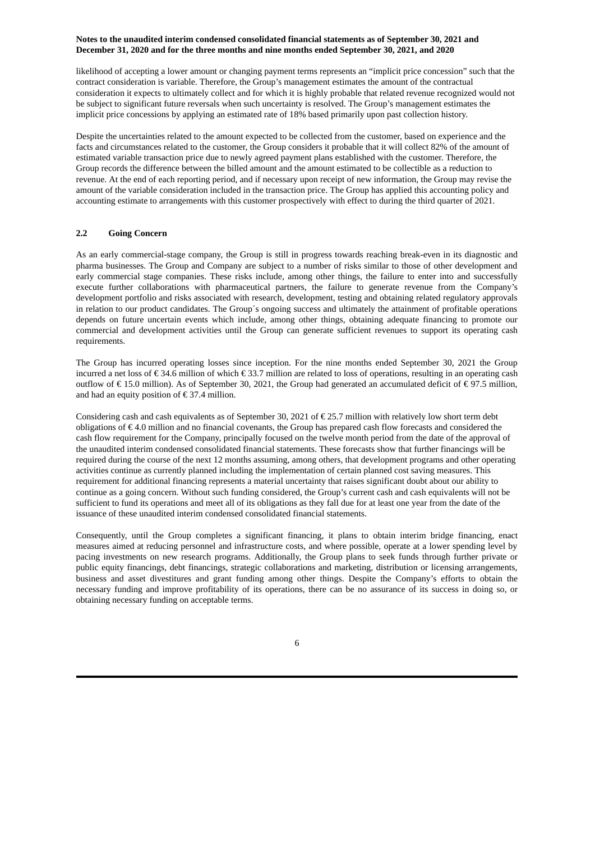likelihood of accepting a lower amount or changing payment terms represents an "implicit price concession" such that the contract consideration is variable. Therefore, the Group's management estimates the amount of the contractual consideration it expects to ultimately collect and for which it is highly probable that related revenue recognized would not be subject to significant future reversals when such uncertainty is resolved. The Group's management estimates the implicit price concessions by applying an estimated rate of 18% based primarily upon past collection history.

Despite the uncertainties related to the amount expected to be collected from the customer, based on experience and the facts and circumstances related to the customer, the Group considers it probable that it will collect 82% of the amount of estimated variable transaction price due to newly agreed payment plans established with the customer. Therefore, the Group records the difference between the billed amount and the amount estimated to be collectible as a reduction to revenue. At the end of each reporting period, and if necessary upon receipt of new information, the Group may revise the amount of the variable consideration included in the transaction price. The Group has applied this accounting policy and accounting estimate to arrangements with this customer prospectively with effect to during the third quarter of 2021.

## **2.2 Going Concern**

As an early commercial-stage company, the Group is still in progress towards reaching break-even in its diagnostic and pharma businesses. The Group and Company are subject to a number of risks similar to those of other development and early commercial stage companies. These risks include, among other things, the failure to enter into and successfully execute further collaborations with pharmaceutical partners, the failure to generate revenue from the Company's development portfolio and risks associated with research, development, testing and obtaining related regulatory approvals in relation to our product candidates. The Group´s ongoing success and ultimately the attainment of profitable operations depends on future uncertain events which include, among other things, obtaining adequate financing to promote our commercial and development activities until the Group can generate sufficient revenues to support its operating cash requirements.

The Group has incurred operating losses since inception. For the nine months ended September 30, 2021 the Group incurred a net loss of  $\epsilon$  34.6 million of which  $\epsilon$  33.7 million are related to loss of operations, resulting in an operating cash outflow of € 15.0 million). As of September 30, 2021, the Group had generated an accumulated deficit of € 97.5 million, and had an equity position of  $\epsilon$  37.4 million.

Considering cash and cash equivalents as of September 30, 2021 of € 25.7 million with relatively low short term debt obligations of € 4.0 million and no financial covenants, the Group has prepared cash flow forecasts and considered the cash flow requirement for the Company, principally focused on the twelve month period from the date of the approval of the unaudited interim condensed consolidated financial statements. These forecasts show that further financings will be required during the course of the next 12 months assuming, among others, that development programs and other operating activities continue as currently planned including the implementation of certain planned cost saving measures. This requirement for additional financing represents a material uncertainty that raises significant doubt about our ability to continue as a going concern. Without such funding considered, the Group's current cash and cash equivalents will not be sufficient to fund its operations and meet all of its obligations as they fall due for at least one year from the date of the issuance of these unaudited interim condensed consolidated financial statements.

Consequently, until the Group completes a significant financing, it plans to obtain interim bridge financing, enact measures aimed at reducing personnel and infrastructure costs, and where possible, operate at a lower spending level by pacing investments on new research programs. Additionally, the Group plans to seek funds through further private or public equity financings, debt financings, strategic collaborations and marketing, distribution or licensing arrangements, business and asset divestitures and grant funding among other things. Despite the Company's efforts to obtain the necessary funding and improve profitability of its operations, there can be no assurance of its success in doing so, or obtaining necessary funding on acceptable terms.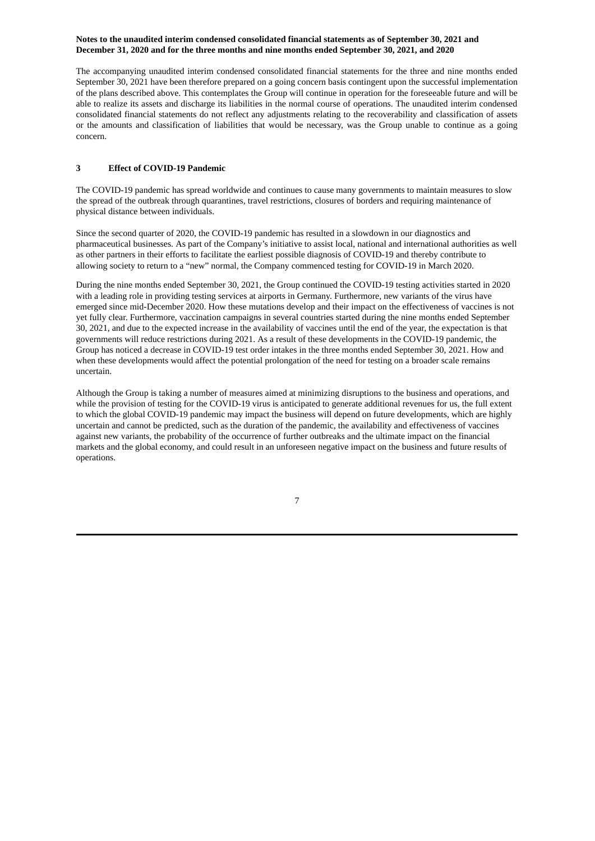The accompanying unaudited interim condensed consolidated financial statements for the three and nine months ended September 30, 2021 have been therefore prepared on a going concern basis contingent upon the successful implementation of the plans described above. This contemplates the Group will continue in operation for the foreseeable future and will be able to realize its assets and discharge its liabilities in the normal course of operations. The unaudited interim condensed consolidated financial statements do not reflect any adjustments relating to the recoverability and classification of assets or the amounts and classification of liabilities that would be necessary, was the Group unable to continue as a going concern.

# **3 Effect of COVID-19 Pandemic**

The COVID-19 pandemic has spread worldwide and continues to cause many governments to maintain measures to slow the spread of the outbreak through quarantines, travel restrictions, closures of borders and requiring maintenance of physical distance between individuals.

Since the second quarter of 2020, the COVID-19 pandemic has resulted in a slowdown in our diagnostics and pharmaceutical businesses. As part of the Company's initiative to assist local, national and international authorities as well as other partners in their efforts to facilitate the earliest possible diagnosis of COVID-19 and thereby contribute to allowing society to return to a "new" normal, the Company commenced testing for COVID-19 in March 2020.

During the nine months ended September 30, 2021, the Group continued the COVID-19 testing activities started in 2020 with a leading role in providing testing services at airports in Germany. Furthermore, new variants of the virus have emerged since mid-December 2020. How these mutations develop and their impact on the effectiveness of vaccines is not yet fully clear. Furthermore, vaccination campaigns in several countries started during the nine months ended September 30, 2021, and due to the expected increase in the availability of vaccines until the end of the year, the expectation is that governments will reduce restrictions during 2021. As a result of these developments in the COVID-19 pandemic, the Group has noticed a decrease in COVID-19 test order intakes in the three months ended September 30, 2021. How and when these developments would affect the potential prolongation of the need for testing on a broader scale remains uncertain.

Although the Group is taking a number of measures aimed at minimizing disruptions to the business and operations, and while the provision of testing for the COVID-19 virus is anticipated to generate additional revenues for us, the full extent to which the global COVID-19 pandemic may impact the business will depend on future developments, which are highly uncertain and cannot be predicted, such as the duration of the pandemic, the availability and effectiveness of vaccines against new variants, the probability of the occurrence of further outbreaks and the ultimate impact on the financial markets and the global economy, and could result in an unforeseen negative impact on the business and future results of operations.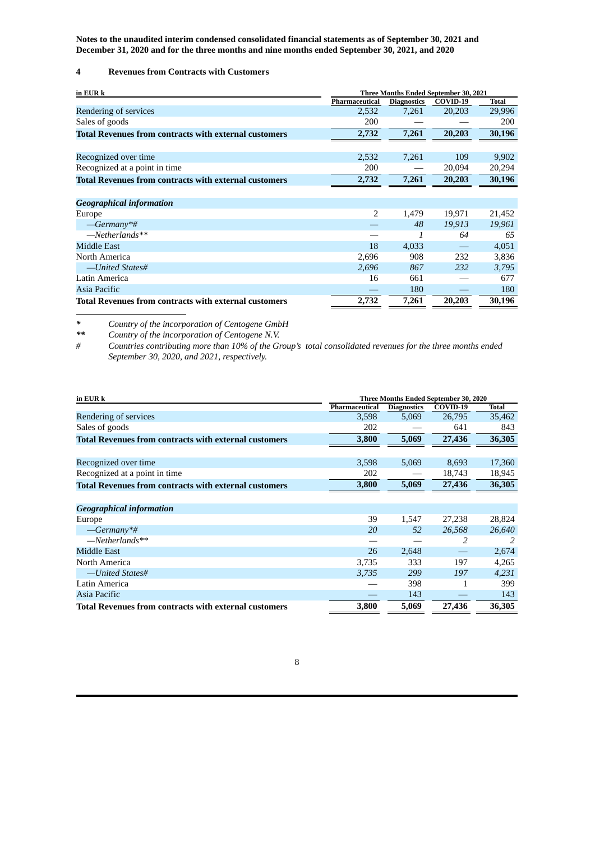# **4 Revenues from Contracts with Customers**

| in EUR k                                                     | Three Months Ended September 30, 2021 |                    |          |              |
|--------------------------------------------------------------|---------------------------------------|--------------------|----------|--------------|
|                                                              | Pharmaceutical                        | <b>Diagnostics</b> | COVID-19 | <b>Total</b> |
| Rendering of services                                        | 2,532                                 | 7,261              | 20,203   | 29,996       |
| Sales of goods                                               | 200                                   |                    |          | 200          |
| <b>Total Revenues from contracts with external customers</b> | 2,732                                 | 7,261              | 20,203   | 30,196       |
|                                                              |                                       |                    |          |              |
| Recognized over time                                         | 2,532                                 | 7,261              | 109      | 9,902        |
| Recognized at a point in time                                | 200                                   |                    | 20,094   | 20,294       |
| <b>Total Revenues from contracts with external customers</b> | 2,732                                 | 7,261              | 20,203   | 30,196       |
|                                                              |                                       |                    |          |              |
| <b>Geographical information</b>                              |                                       |                    |          |              |
| Europe                                                       | 2                                     | 1,479              | 19,971   | 21,452       |
| $—Germany**$                                                 |                                       | 48                 | 19,913   | 19,961       |
| $-Metherlands**$                                             |                                       | 1                  | 64       | 65           |
| Middle East                                                  | 18                                    | 4,033              |          | 4,051        |
| North America                                                | 2,696                                 | 908                | 232      | 3,836        |
| -United States#                                              | 2,696                                 | 867                | 232      | 3,795        |
| Latin America                                                | 16                                    | 661                |          | 677          |
| Asia Pacific                                                 |                                       | 180                |          | 180          |
| <b>Total Revenues from contracts with external customers</b> | 2,732                                 | 7,261              | 20,203   | 30,196       |

*\* Country of the incorporation of Centogene GmbH*

*\*\* Country of the incorporation of Centogene N.V.* Countries contributing more than 10% of the Group's total consolidated revenues for the three months ended *September 30, 2020, and 2021, respectively.*

| in EUR k                                                     | Three Months Ended September 30, 2020 |                    |          |              |  |
|--------------------------------------------------------------|---------------------------------------|--------------------|----------|--------------|--|
|                                                              | Pharmaceutical                        | <b>Diagnostics</b> | COVID-19 | <b>Total</b> |  |
| Rendering of services                                        | 3,598                                 | 5,069              | 26,795   | 35,462       |  |
| Sales of goods                                               | 202                                   |                    | 641      | 843          |  |
| <b>Total Revenues from contracts with external customers</b> | 3,800                                 | 5,069              | 27,436   | 36,305       |  |
|                                                              |                                       |                    |          |              |  |
| Recognized over time                                         | 3,598                                 | 5,069              | 8,693    | 17,360       |  |
| Recognized at a point in time                                | 202                                   |                    | 18,743   | 18,945       |  |
| <b>Total Revenues from contracts with external customers</b> | 3,800                                 | 5,069              | 27,436   | 36,305       |  |
|                                                              |                                       |                    |          |              |  |
| <b>Geographical information</b>                              |                                       |                    |          |              |  |
| Europe                                                       | 39                                    | 1,547              | 27,238   | 28,824       |  |
| $-Germany*$ #                                                | 20                                    | 52                 | 26,568   | 26,640       |  |
| $-Metherlands**$                                             |                                       |                    | 2        | 2            |  |
| Middle East                                                  | 26                                    | 2,648              |          | 2,674        |  |
| North America                                                | 3,735                                 | 333                | 197      | 4,265        |  |
| -United States#                                              | 3,735                                 | 299                | 197      | 4,231        |  |
| Latin America                                                |                                       | 398                | 1        | 399          |  |
| Asia Pacific                                                 |                                       | 143                |          | 143          |  |
| Total Revenues from contracts with external customers        | 3,800                                 | 5,069              | 27,436   | 36,305       |  |

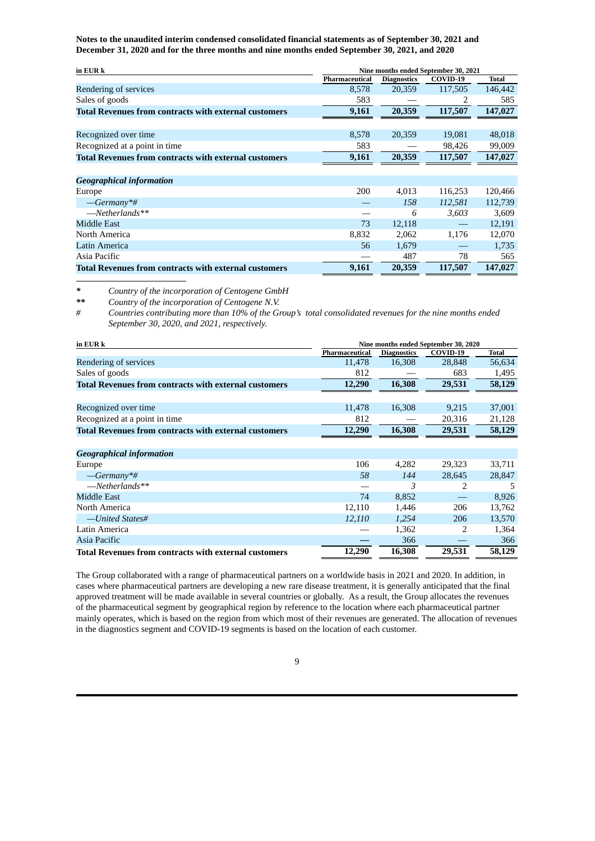| in EUR k                                                     |                | Nine months ended September 30, 2021 |                                |              |  |  |
|--------------------------------------------------------------|----------------|--------------------------------------|--------------------------------|--------------|--|--|
|                                                              | Pharmaceutical | <b>Diagnostics</b>                   | COVID-19                       | <b>Total</b> |  |  |
| Rendering of services                                        | 8,578          | 20,359                               | 117,505                        | 146,442      |  |  |
| Sales of goods                                               | 583            |                                      | 2                              | 585          |  |  |
| <b>Total Revenues from contracts with external customers</b> | 9,161          | 20,359                               | 117,507                        | 147,027      |  |  |
|                                                              |                |                                      |                                |              |  |  |
| Recognized over time                                         | 8,578          | 20,359                               | 19,081                         | 48,018       |  |  |
| Recognized at a point in time                                | 583            |                                      | 98,426                         | 99,009       |  |  |
| <b>Total Revenues from contracts with external customers</b> | 9,161          | 20,359                               | 117,507                        | 147,027      |  |  |
|                                                              |                |                                      |                                |              |  |  |
| <b>Geographical information</b>                              |                |                                      |                                |              |  |  |
| Europe                                                       | 200            | 4,013                                | 116,253                        | 120,466      |  |  |
| $—Germany**$                                                 |                | 158                                  | 112,581                        | 112,739      |  |  |
| $-Metherlands**$                                             |                | 6                                    | 3,603                          | 3,609        |  |  |
| <b>Middle East</b>                                           | 73             | 12,118                               | $\qquad \qquad \longleftarrow$ | 12,191       |  |  |
| North America                                                | 8,832          | 2,062                                | 1,176                          | 12,070       |  |  |
| Latin America                                                | 56             | 1,679                                |                                | 1,735        |  |  |
| Asia Pacific                                                 |                | 487                                  | 78                             | 565          |  |  |
| <b>Total Revenues from contracts with external customers</b> | 9,161          | 20,359                               | 117,507                        | 147,027      |  |  |

*\* Country of the incorporation of Centogene GmbH*

*\*\* Country of the incorporation of Centogene N.V.*

# Countries contributing more than 10% of the Group's total consolidated revenues for the nine months ended *September 30, 2020, and 2021, respectively.*

| in EUR k                                                     | Nine months ended September 30, 2020 |                    |          |        |  |
|--------------------------------------------------------------|--------------------------------------|--------------------|----------|--------|--|
|                                                              | Pharmaceutical                       | <b>Diagnostics</b> | COVID-19 | Total  |  |
| Rendering of services                                        | 11,478                               | 16,308             | 28,848   | 56,634 |  |
| Sales of goods                                               | 812                                  |                    | 683      | 1,495  |  |
| <b>Total Revenues from contracts with external customers</b> | 12,290                               | 16,308             | 29,531   | 58,129 |  |
|                                                              |                                      |                    |          |        |  |
| Recognized over time                                         | 11,478                               | 16,308             | 9,215    | 37,001 |  |
| Recognized at a point in time                                | 812                                  |                    | 20,316   | 21,128 |  |
| <b>Total Revenues from contracts with external customers</b> | 12,290                               | 16,308             | 29,531   | 58,129 |  |
|                                                              |                                      |                    |          |        |  |
| <b>Geographical information</b>                              |                                      |                    |          |        |  |
| Europe                                                       | 106                                  | 4,282              | 29,323   | 33,711 |  |
| $-Germany*$ #                                                | 58                                   | 144                | 28,645   | 28,847 |  |
| $-Metherlands**$                                             |                                      | 3                  | 2        | 5      |  |
| Middle East                                                  | 74                                   | 8,852              |          | 8,926  |  |
| North America                                                | 12,110                               | 1,446              | 206      | 13,762 |  |
| -United States#                                              | 12,110                               | 1,254              | 206      | 13,570 |  |
| Latin America                                                |                                      | 1,362              | 2        | 1,364  |  |
| Asia Pacific                                                 |                                      | 366                |          | 366    |  |
| <b>Total Revenues from contracts with external customers</b> | 12,290                               | 16,308             | 29,531   | 58,129 |  |

The Group collaborated with a range of pharmaceutical partners on a worldwide basis in 2021 and 2020. In addition, in cases where pharmaceutical partners are developing a new rare disease treatment, it is generally anticipated that the final approved treatment will be made available in several countries or globally. As a result, the Group allocates the revenues of the pharmaceutical segment by geographical region by reference to the location where each pharmaceutical partner mainly operates, which is based on the region from which most of their revenues are generated. The allocation of revenues in the diagnostics segment and COVID-19 segments is based on the location of each customer.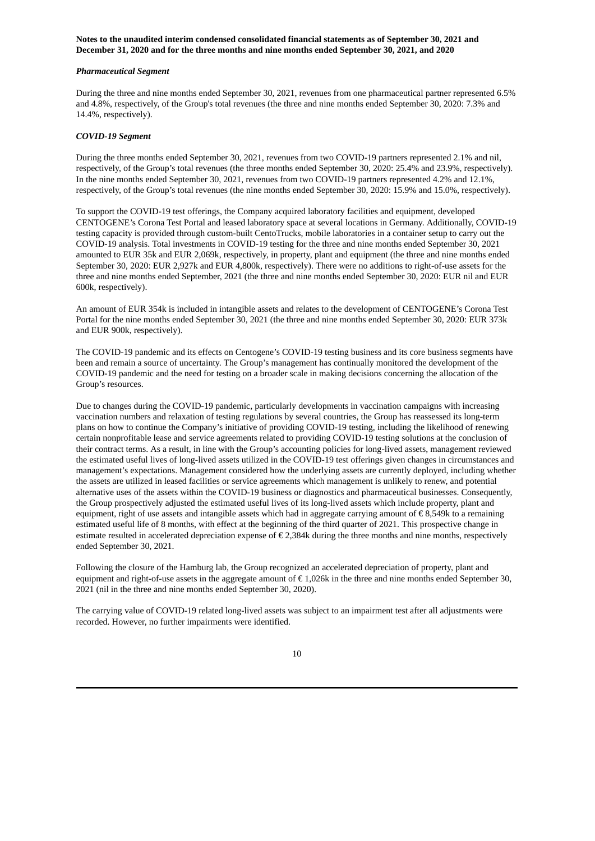#### *Pharmaceutical Segment*

During the three and nine months ended September 30, 2021, revenues from one pharmaceutical partner represented 6.5% and 4.8%, respectively, of the Group's total revenues (the three and nine months ended September 30, 2020: 7.3% and 14.4%, respectively).

#### *COVID-19 Segment*

During the three months ended September 30, 2021, revenues from two COVID-19 partners represented 2.1% and nil, respectively, of the Group's total revenues (the three months ended September 30, 2020: 25.4% and 23.9%, respectively). In the nine months ended September 30, 2021, revenues from two COVID-19 partners represented 4.2% and 12.1%, respectively, of the Group's total revenues (the nine months ended September 30, 2020: 15.9% and 15.0%, respectively).

To support the COVID-19 test offerings, the Company acquired laboratory facilities and equipment, developed CENTOGENE's Corona Test Portal and leased laboratory space at several locations in Germany. Additionally, COVID-19 testing capacity is provided through custom-built CentoTrucks, mobile laboratories in a container setup to carry out the COVID-19 analysis. Total investments in COVID-19 testing for the three and nine months ended September 30, 2021 amounted to EUR 35k and EUR 2,069k, respectively, in property, plant and equipment (the three and nine months ended September 30, 2020: EUR 2,927k and EUR 4,800k, respectively). There were no additions to right-of-use assets for the three and nine months ended September, 2021 (the three and nine months ended September 30, 2020: EUR nil and EUR 600k, respectively).

An amount of EUR 354k is included in intangible assets and relates to the development of CENTOGENE's Corona Test Portal for the nine months ended September 30, 2021 (the three and nine months ended September 30, 2020: EUR 373k and EUR 900k, respectively).

The COVID-19 pandemic and its effects on Centogene's COVID-19 testing business and its core business segments have been and remain a source of uncertainty. The Group's management has continually monitored the development of the COVID-19 pandemic and the need for testing on a broader scale in making decisions concerning the allocation of the Group's resources.

Due to changes during the COVID-19 pandemic, particularly developments in vaccination campaigns with increasing vaccination numbers and relaxation of testing regulations by several countries, the Group has reassessed its long-term plans on how to continue the Company's initiative of providing COVID-19 testing, including the likelihood of renewing certain nonprofitable lease and service agreements related to providing COVID-19 testing solutions at the conclusion of their contract terms. As a result, in line with the Group's accounting policies for long-lived assets, management reviewed the estimated useful lives of long-lived assets utilized in the COVID-19 test offerings given changes in circumstances and management's expectations. Management considered how the underlying assets are currently deployed, including whether the assets are utilized in leased facilities or service agreements which management is unlikely to renew, and potential alternative uses of the assets within the COVID-19 business or diagnostics and pharmaceutical businesses. Consequently, the Group prospectively adjusted the estimated useful lives of its long-lived assets which include property, plant and equipment, right of use assets and intangible assets which had in aggregate carrying amount of  $\epsilon$  8,549k to a remaining estimated useful life of 8 months, with effect at the beginning of the third quarter of 2021. This prospective change in estimate resulted in accelerated depreciation expense of  $\epsilon$  2,384k during the three months and nine months, respectively ended September 30, 2021.

Following the closure of the Hamburg lab, the Group recognized an accelerated depreciation of property, plant and equipment and right-of-use assets in the aggregate amount of  $\epsilon$  1,026k in the three and nine months ended September 30, 2021 (nil in the three and nine months ended September 30, 2020).

The carrying value of COVID-19 related long-lived assets was subject to an impairment test after all adjustments were recorded. However, no further impairments were identified.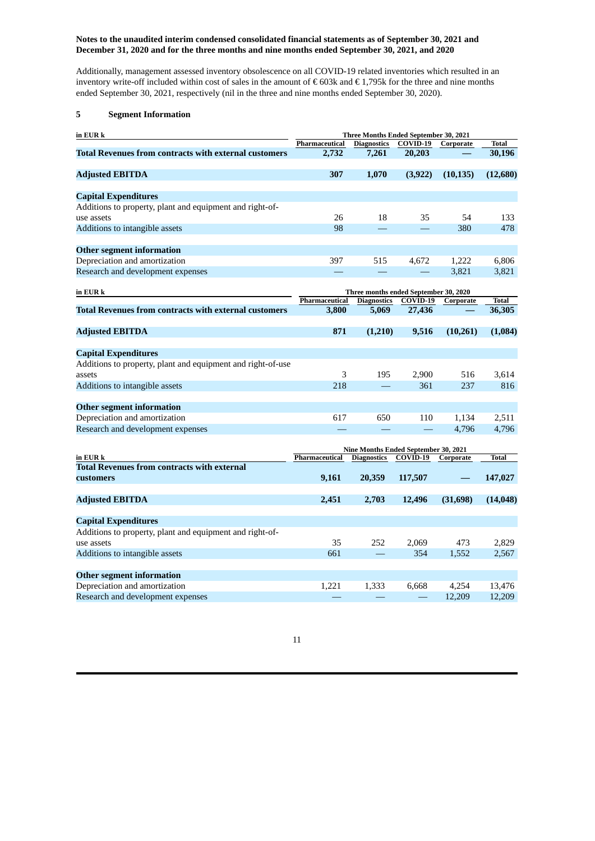Additionally, management assessed inventory obsolescence on all COVID-19 related inventories which resulted in an inventory write-off included within cost of sales in the amount of € 603k and € 1,795k for the three and nine months ended September 30, 2021, respectively (nil in the three and nine months ended September 30, 2020).

# **5 Segment Information**

| in EUR k                                                     | Three Months Ended September 30, 2021 |                                       |          |           |              |  |
|--------------------------------------------------------------|---------------------------------------|---------------------------------------|----------|-----------|--------------|--|
|                                                              | Pharmaceutical                        | <b>Diagnostics</b>                    | COVID-19 | Corporate | <b>Total</b> |  |
| <b>Total Revenues from contracts with external customers</b> | 2,732                                 | 7,261                                 | 20,203   |           | 30,196       |  |
| <b>Adjusted EBITDA</b>                                       | 307                                   | 1,070                                 | (3, 922) | (10, 135) | (12,680)     |  |
| <b>Capital Expenditures</b>                                  |                                       |                                       |          |           |              |  |
| Additions to property, plant and equipment and right-of-     |                                       |                                       |          |           |              |  |
| use assets                                                   | 26                                    | 18                                    | 35       | 54        | 133          |  |
| Additions to intangible assets                               | 98                                    |                                       |          | 380       | 478          |  |
| <b>Other segment information</b>                             |                                       |                                       |          |           |              |  |
| Depreciation and amortization                                | 397                                   | 515                                   | 4,672    | 1,222     | 6,806        |  |
| Research and development expenses                            |                                       |                                       |          | 3,821     | 3,821        |  |
| in EUR k                                                     |                                       | Three months ended September 30, 2020 |          |           |              |  |
|                                                              | Pharmaceutical                        | <b>Diagnostics</b>                    | COVID-19 | Corporate | <b>Total</b> |  |
| <b>Total Revenues from contracts with external customers</b> | 3,800                                 | 5,069                                 | 27,436   |           | 36,305       |  |
| <b>Adjusted EBITDA</b>                                       | 871                                   | (1,210)                               | 9,516    | (10, 261) | (1,084)      |  |
|                                                              |                                       |                                       |          |           |              |  |
| <b>Capital Expenditures</b>                                  |                                       |                                       |          |           |              |  |
| Additions to property, plant and equipment and right-of-use  |                                       |                                       |          |           |              |  |
| assets                                                       | 3                                     | 195                                   | 2,900    | 516       | 3,614        |  |
| Additions to intangible assets                               | 218                                   |                                       | 361      | 237       | 816          |  |
| <b>Other segment information</b>                             |                                       |                                       |          |           |              |  |
| Depreciation and amortization                                | 617                                   | 650                                   | 110      | 1,134     | 2,511        |  |
| Research and development expenses                            |                                       |                                       |          | 4,796     | 4,796        |  |
|                                                              |                                       | Nine Months Ended September 30, 2021  |          |           |              |  |
| in EUR k                                                     | Pharmaceutical                        | <b>Diagnostics</b>                    | COVID-19 | Corporate | Total        |  |
| <b>Total Revenues from contracts with external</b>           |                                       |                                       |          |           |              |  |
| customers                                                    | 9,161                                 | 20,359                                | 117,507  | —         | 147,027      |  |
| <b>Adjusted EBITDA</b>                                       | 2,451                                 | 2,703                                 | 12,496   | (31,698)  | (14, 048)    |  |
| <b>Capital Expenditures</b>                                  |                                       |                                       |          |           |              |  |
| Additions to property, plant and equipment and right-of-     |                                       |                                       |          |           |              |  |
| use assets                                                   | 35                                    | 252                                   | 2,069    | 473       | 2,829        |  |
| Additions to intangible assets                               | 661                                   |                                       | 354      | 1,552     | 2,567        |  |
| <b>Other segment information</b>                             |                                       |                                       |          |           |              |  |
| Depreciation and amortization                                | 1,221                                 | 1,333                                 | 6,668    | 4,254     | 13,476       |  |
| Research and development expenses                            |                                       |                                       |          | 12,209    | 12,209       |  |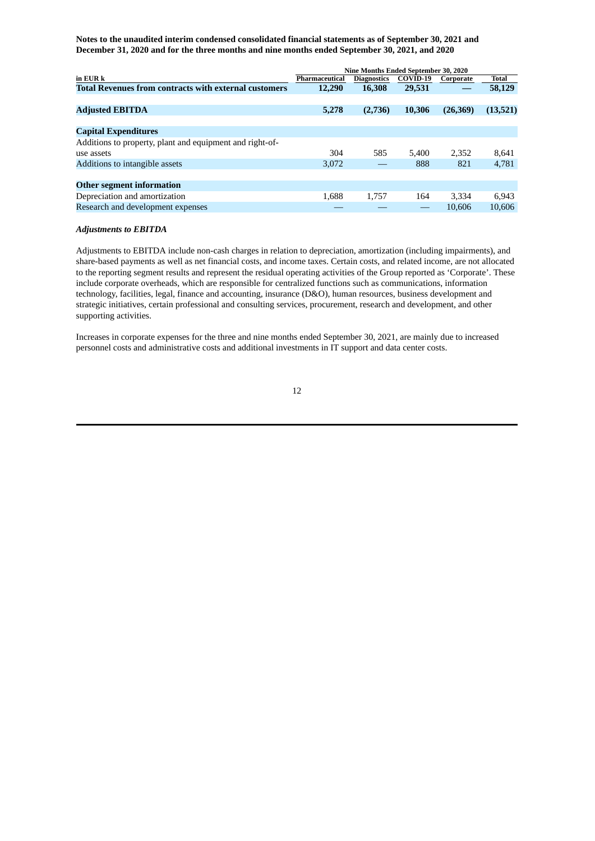|                                                              | Nine Months Ended September 30, 2020 |                    |          |           |              |
|--------------------------------------------------------------|--------------------------------------|--------------------|----------|-----------|--------------|
| in EUR k                                                     | Pharmaceutical                       | <b>Diagnostics</b> | COVID-19 | Corporate | <b>Total</b> |
| <b>Total Revenues from contracts with external customers</b> | 12,290                               | 16,308             | 29,531   |           | 58,129       |
|                                                              |                                      |                    |          |           |              |
| <b>Adjusted EBITDA</b>                                       | 5,278                                | (2,736)            | 10,306   | (26, 369) | (13,521)     |
|                                                              |                                      |                    |          |           |              |
| <b>Capital Expenditures</b>                                  |                                      |                    |          |           |              |
| Additions to property, plant and equipment and right-of-     |                                      |                    |          |           |              |
| use assets                                                   | 304                                  | 585                | 5.400    | 2,352     | 8,641        |
| Additions to intangible assets                               | 3.072                                |                    | 888      | 821       | 4,781        |
|                                                              |                                      |                    |          |           |              |
| <b>Other segment information</b>                             |                                      |                    |          |           |              |
| Depreciation and amortization                                | 1.688                                | 1.757              | 164      | 3,334     | 6,943        |
| Research and development expenses                            |                                      |                    |          | 10.606    | 10.606       |

#### *Adjustments to EBITDA*

Adjustments to EBITDA include non-cash charges in relation to depreciation, amortization (including impairments), and share-based payments as well as net financial costs, and income taxes. Certain costs, and related income, are not allocated to the reporting segment results and represent the residual operating activities of the Group reported as 'Corporate'. These include corporate overheads, which are responsible for centralized functions such as communications, information technology, facilities, legal, finance and accounting, insurance (D&O), human resources, business development and strategic initiatives, certain professional and consulting services, procurement, research and development, and other supporting activities.

Increases in corporate expenses for the three and nine months ended September 30, 2021, are mainly due to increased personnel costs and administrative costs and additional investments in IT support and data center costs.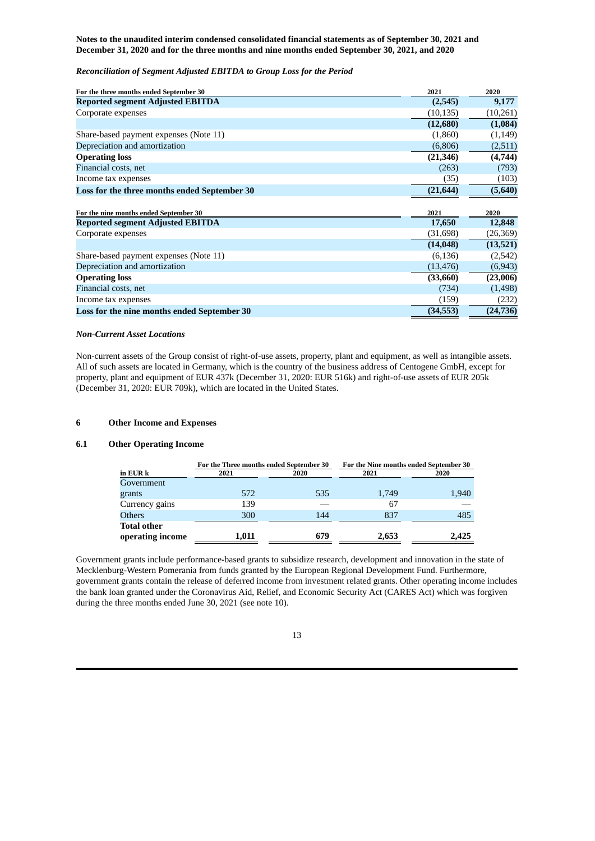# *Reconciliation of Segment Adjusted EBITDA to Group Loss for the Period*

| For the three months ended September 30      | 2021      | 2020     |
|----------------------------------------------|-----------|----------|
| <b>Reported segment Adjusted EBITDA</b>      | (2,545)   | 9,177    |
| Corporate expenses                           | (10, 135) | (10,261) |
|                                              | (12,680)  | (1,084)  |
| Share-based payment expenses (Note 11)       | (1,860)   | (1, 149) |
| Depreciation and amortization                | (6,806)   | (2,511)  |
| <b>Operating loss</b>                        | (21, 346) | (4,744)  |
| Financial costs, net                         | (263)     | (793)    |
| Income tax expenses                          | (35)      | (103)    |
| Loss for the three months ended September 30 | (21, 644) | (5,640)  |
|                                              |           |          |
|                                              |           |          |
| For the nine months ended September 30       | 2021      | 2020     |
| <b>Reported segment Adjusted EBITDA</b>      | 17,650    | 12,848   |
| Corporate expenses                           | (31, 698) | (26,369) |
|                                              | (14, 048) | (13,521) |
| Share-based payment expenses (Note 11)       | (6, 136)  | (2,542)  |
| Depreciation and amortization                | (13, 476) | (6, 943) |
| <b>Operating loss</b>                        | (33,660)  | (23,006) |
| Financial costs, net                         | (734)     | (1,498)  |
| Income tax expenses                          | (159)     | (232)    |

## *Non-Current Asset Locations*

Non-current assets of the Group consist of right-of-use assets, property, plant and equipment, as well as intangible assets. All of such assets are located in Germany, which is the country of the business address of Centogene GmbH, except for property, plant and equipment of EUR 437k (December 31, 2020: EUR 516k) and right-of-use assets of EUR 205k (December 31, 2020: EUR 709k), which are located in the United States.

## **6 Other Income and Expenses**

#### **6.1 Other Operating Income**

|                    | For the Three months ended September 30 | For the Nine months ended September 30 |       |       |
|--------------------|-----------------------------------------|----------------------------------------|-------|-------|
| in EUR k           | 2021                                    | 2020                                   | 2021  |       |
| Government         |                                         |                                        |       |       |
| grants             | 572                                     | 535                                    | 1,749 | 1,940 |
| Currency gains     | 139                                     |                                        | 67    |       |
| <b>Others</b>      | 300                                     | 144                                    | 837   | 485   |
| <b>Total other</b> |                                         |                                        |       |       |
| operating income   | 1,011                                   | 679                                    | 2,653 | 2,425 |

Government grants include performance-based grants to subsidize research, development and innovation in the state of Mecklenburg-Western Pomerania from funds granted by the European Regional Development Fund. Furthermore, government grants contain the release of deferred income from investment related grants. Other operating income includes the bank loan granted under the Coronavirus Aid, Relief, and Economic Security Act (CARES Act) which was forgiven during the three months ended June 30, 2021 (see note 10).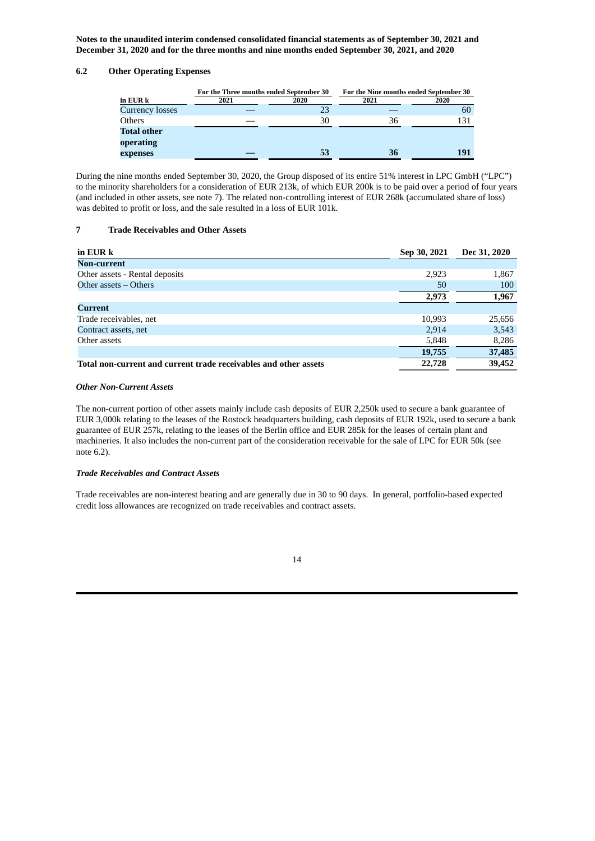# **6.2 Other Operating Expenses**

|                        | For the Three months ended September 30 |      | For the Nine months ended September 30 |      |  |
|------------------------|-----------------------------------------|------|----------------------------------------|------|--|
| in EUR k               | 2021                                    | 2020 | 2021                                   | 2020 |  |
| <b>Currency losses</b> |                                         | 23   |                                        | 60   |  |
| Others                 |                                         | 30   | 36                                     | 131  |  |
| <b>Total other</b>     |                                         |      |                                        |      |  |
| operating              |                                         |      |                                        |      |  |
| expenses               |                                         | 53   | 36                                     | 191  |  |

During the nine months ended September 30, 2020, the Group disposed of its entire 51% interest in LPC GmbH ("LPC") to the minority shareholders for a consideration of EUR 213k, of which EUR 200k is to be paid over a period of four years (and included in other assets, see note 7). The related non-controlling interest of EUR 268k (accumulated share of loss) was debited to profit or loss, and the sale resulted in a loss of EUR 101k.

## **7 Trade Receivables and Other Assets**

| in EUR k                                                         | Sep 30, 2021 | Dec 31, 2020 |
|------------------------------------------------------------------|--------------|--------------|
| <b>Non-current</b>                                               |              |              |
| Other assets - Rental deposits                                   | 2,923        | 1,867        |
| Other assets – Others                                            | 50           | 100          |
|                                                                  | 2,973        | 1,967        |
| Current                                                          |              |              |
| Trade receivables, net                                           | 10,993       | 25,656       |
| Contract assets, net                                             | 2,914        | 3,543        |
| Other assets                                                     | 5,848        | 8,286        |
|                                                                  | 19,755       | 37,485       |
| Total non-current and current trade receivables and other assets | 22,728       | 39,452       |

## *Other Non-Current Assets*

The non-current portion of other assets mainly include cash deposits of EUR 2,250k used to secure a bank guarantee of EUR 3,000k relating to the leases of the Rostock headquarters building, cash deposits of EUR 192k, used to secure a bank guarantee of EUR 257k, relating to the leases of the Berlin office and EUR 285k for the leases of certain plant and machineries. It also includes the non-current part of the consideration receivable for the sale of LPC for EUR 50k (see note 6.2).

#### *Trade Receivables and Contract Assets*

Trade receivables are non-interest bearing and are generally due in 30 to 90 days. In general, portfolio-based expected credit loss allowances are recognized on trade receivables and contract assets.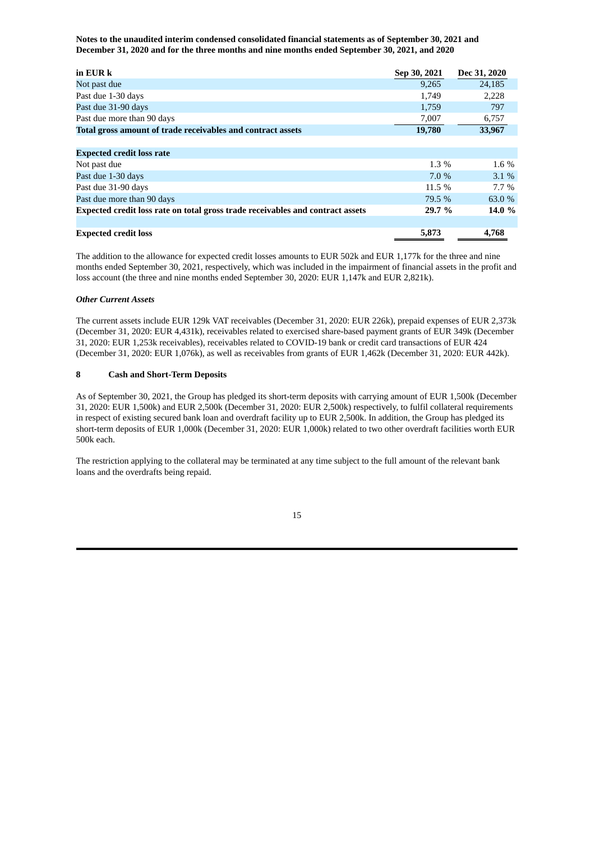| in EUR k                                                                       | Sep 30, 2021 | Dec 31, 2020 |
|--------------------------------------------------------------------------------|--------------|--------------|
| Not past due                                                                   | 9,265        | 24,185       |
| Past due 1-30 days                                                             | 1,749        | 2,228        |
| Past due 31-90 days                                                            | 1,759        | 797          |
| Past due more than 90 days                                                     | 7,007        | 6,757        |
| Total gross amount of trade receivables and contract assets                    | 19,780       | 33,967       |
|                                                                                |              |              |
| <b>Expected credit loss rate</b>                                               |              |              |
| Not past due                                                                   | $1.3\%$      | 1.6 %        |
| Past due 1-30 days                                                             | 7.0 %        | $3.1\%$      |
| Past due 31-90 days                                                            | 11.5 %       | $7.7\%$      |
| Past due more than 90 days                                                     | 79.5 %       | 63.0 %       |
| Expected credit loss rate on total gross trade receivables and contract assets | 29.7 %       | 14.0 %       |
|                                                                                |              |              |
| <b>Expected credit loss</b>                                                    | 5,873        | 4,768        |

The addition to the allowance for expected credit losses amounts to EUR 502k and EUR 1,177k for the three and nine months ended September 30, 2021, respectively, which was included in the impairment of financial assets in the profit and loss account (the three and nine months ended September 30, 2020: EUR 1,147k and EUR 2,821k).

#### *Other Current Assets*

The current assets include EUR 129k VAT receivables (December 31, 2020: EUR 226k), prepaid expenses of EUR 2,373k (December 31, 2020: EUR 4,431k), receivables related to exercised share-based payment grants of EUR 349k (December 31, 2020: EUR 1,253k receivables), receivables related to COVID-19 bank or credit card transactions of EUR 424 (December 31, 2020: EUR 1,076k), as well as receivables from grants of EUR 1,462k (December 31, 2020: EUR 442k).

#### **8 Cash and Short-Term Deposits**

As of September 30, 2021, the Group has pledged its short-term deposits with carrying amount of EUR 1,500k (December 31, 2020: EUR 1,500k) and EUR 2,500k (December 31, 2020: EUR 2,500k) respectively, to fulfil collateral requirements in respect of existing secured bank loan and overdraft facility up to EUR 2,500k. In addition, the Group has pledged its short-term deposits of EUR 1,000k (December 31, 2020: EUR 1,000k) related to two other overdraft facilities worth EUR 500k each.

The restriction applying to the collateral may be terminated at any time subject to the full amount of the relevant bank loans and the overdrafts being repaid.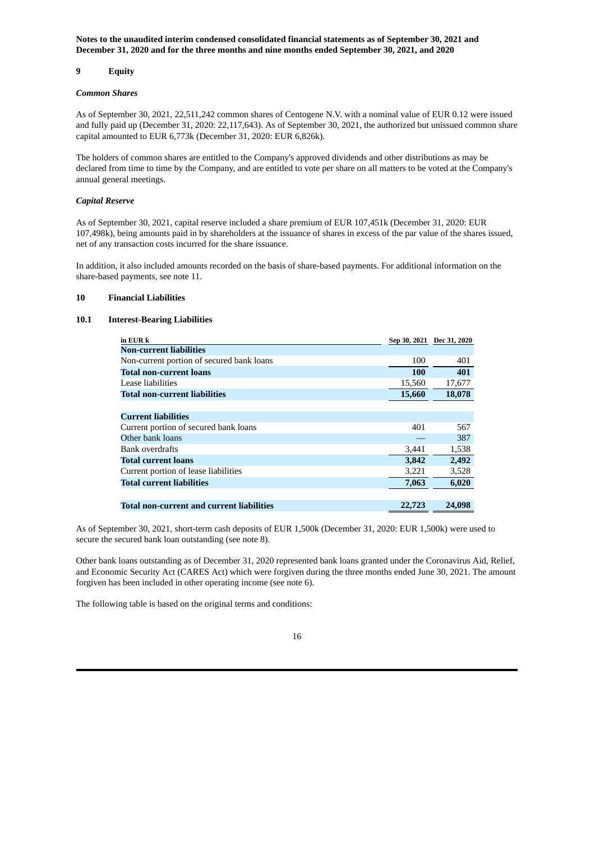## **9 Equity**

#### *Common Shares*

As of September 30, 2021, 22,511,242 common shares of Centogene N.V. with a nominal value of EUR 0.12 were issued and fully paid up (December 31, 2020: 22,117,643). As of September 30, 2021, the authorized but unissued common share capital amounted to EUR 6,773k (December 31, 2020: EUR 6,826k).

The holders of common shares are entitled to the Company's approved dividends and other distributions as may be declared from time to time by the Company, and are entitled to vote per share on all matters to be voted at the Company's annual general meetings.

## *Capital Reserve*

As of September 30, 2021, capital reserve included a share premium of EUR 107,451k (December 31, 2020: EUR 107,498k), being amounts paid in by shareholders at the issuance of shares in excess of the par value of the shares issued, net of any transaction costs incurred for the share issuance.

In addition, it also included amounts recorded on the basis of share-based payments. For additional information on the share-based payments, see note 11.

#### **10 Financial Liabilities**

### **10.1 Interest-Bearing Liabilities**

| in EUR k                                         |        | Sep 30, 2021 Dec 31, 2020 |
|--------------------------------------------------|--------|---------------------------|
| <b>Non-current liabilities</b>                   |        |                           |
| Non-current portion of secured bank loans        | 100    | 401                       |
| <b>Total non-current loans</b>                   | 100    | 401                       |
| Lease liabilities                                | 15,560 | 17,677                    |
| <b>Total non-current liabilities</b>             | 15,660 | 18,078                    |
|                                                  |        |                           |
| <b>Current liabilities</b>                       |        |                           |
| Current portion of secured bank loans            | 401    | 567                       |
| Other bank loans                                 |        | 387                       |
| <b>Bank overdrafts</b>                           | 3,441  | 1,538                     |
| <b>Total current loans</b>                       | 3,842  | 2,492                     |
| Current portion of lease liabilities             | 3,221  | 3,528                     |
| <b>Total current liabilities</b>                 | 7,063  | 6,020                     |
|                                                  |        |                           |
| <b>Total non-current and current liabilities</b> | 22,723 | 24,098                    |

As of September 30, 2021, short-term cash deposits of EUR 1,500k (December 31, 2020: EUR 1,500k) were used to secure the secured bank loan outstanding (see note 8).

Other bank loans outstanding as of December 31, 2020 represented bank loans granted under the Coronavirus Aid, Relief, and Economic Security Act (CARES Act) which were forgiven during the three months ended June 30, 2021. The amount forgiven has been included in other operating income (see note 6).

The following table is based on the original terms and conditions: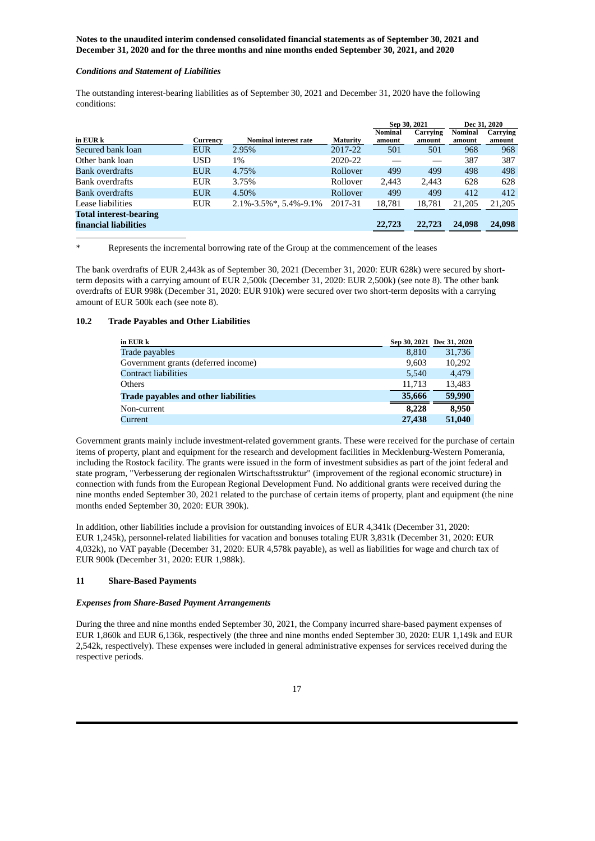#### *Conditions and Statement of Liabilities*

The outstanding interest-bearing liabilities as of September 30, 2021 and December 31, 2020 have the following conditions:

|                               |            |                              |                 | Sep 30, 2021   |          | Dec 31, 2020 |          |
|-------------------------------|------------|------------------------------|-----------------|----------------|----------|--------------|----------|
|                               |            |                              |                 | <b>Nominal</b> | Carrying | Nominal      | Carrying |
| in EUR k                      | Currency   | <b>Nominal interest rate</b> | <b>Maturity</b> | amount         | amount   | amount       | amount   |
| Secured bank loan             | <b>EUR</b> | 2.95%                        | 2017-22         | 501            | 501      | 968          | 968      |
| Other bank loan               | <b>USD</b> | 1%                           | 2020-22         |                |          | 387          | 387      |
| Bank overdrafts               | <b>EUR</b> | 4.75%                        | Rollover        | 499            | 499      | 498          | 498      |
| Bank overdrafts               | <b>EUR</b> | 3.75%                        | Rollover        | 2.443          | 2.443    | 628          | 628      |
| <b>Bank overdrafts</b>        | <b>EUR</b> | 4.50%                        | Rollover        | 499            | 499      | 412          | 412      |
| Lease liabilities             | <b>EUR</b> | $2.1\% - 3.5\%$ *, 5.4%-9.1% | 2017-31         | 18,781         | 18,781   | 21,205       | 21,205   |
| <b>Total interest-bearing</b> |            |                              |                 |                |          |              |          |
| financial liabilities         |            |                              |                 | 22,723         | 22,723   | 24,098       | 24,098   |

Represents the incremental borrowing rate of the Group at the commencement of the leases

The bank overdrafts of EUR 2,443k as of September 30, 2021 (December 31, 2020: EUR 628k) were secured by shortterm deposits with a carrying amount of EUR 2,500k (December 31, 2020: EUR 2,500k) (see note 8). The other bank overdrafts of EUR 998k (December 31, 2020: EUR 910k) were secured over two short-term deposits with a carrying amount of EUR 500k each (see note 8).

#### **10.2 Trade Payables and Other Liabilities**

| in EUR k                                    |        | Sep 30, 2021 Dec 31, 2020 |
|---------------------------------------------|--------|---------------------------|
| Trade payables                              | 8,810  | 31,736                    |
| Government grants (deferred income)         | 9,603  | 10,292                    |
| <b>Contract liabilities</b>                 | 5,540  | 4.479                     |
| <b>Others</b>                               | 11,713 | 13,483                    |
| <b>Trade payables and other liabilities</b> | 35,666 | 59,990                    |
| Non-current                                 | 8,228  | 8.950                     |
| Current                                     | 27,438 | 51,040                    |

Government grants mainly include investment-related government grants. These were received for the purchase of certain items of property, plant and equipment for the research and development facilities in Mecklenburg-Western Pomerania, including the Rostock facility. The grants were issued in the form of investment subsidies as part of the joint federal and state program, "Verbesserung der regionalen Wirtschaftsstruktur" (improvement of the regional economic structure) in connection with funds from the European Regional Development Fund. No additional grants were received during the nine months ended September 30, 2021 related to the purchase of certain items of property, plant and equipment (the nine months ended September 30, 2020: EUR 390k).

In addition, other liabilities include a provision for outstanding invoices of EUR 4,341k (December 31, 2020: EUR 1,245k), personnel-related liabilities for vacation and bonuses totaling EUR 3,831k (December 31, 2020: EUR 4,032k), no VAT payable (December 31, 2020: EUR 4,578k payable), as well as liabilities for wage and church tax of EUR 900k (December 31, 2020: EUR 1,988k).

## **11 Share-Based Payments**

#### *Expenses from Share-Based Payment Arrangements*

During the three and nine months ended September 30, 2021, the Company incurred share-based payment expenses of EUR 1,860k and EUR 6,136k, respectively (the three and nine months ended September 30, 2020: EUR 1,149k and EUR 2,542k, respectively). These expenses were included in general administrative expenses for services received during the respective periods.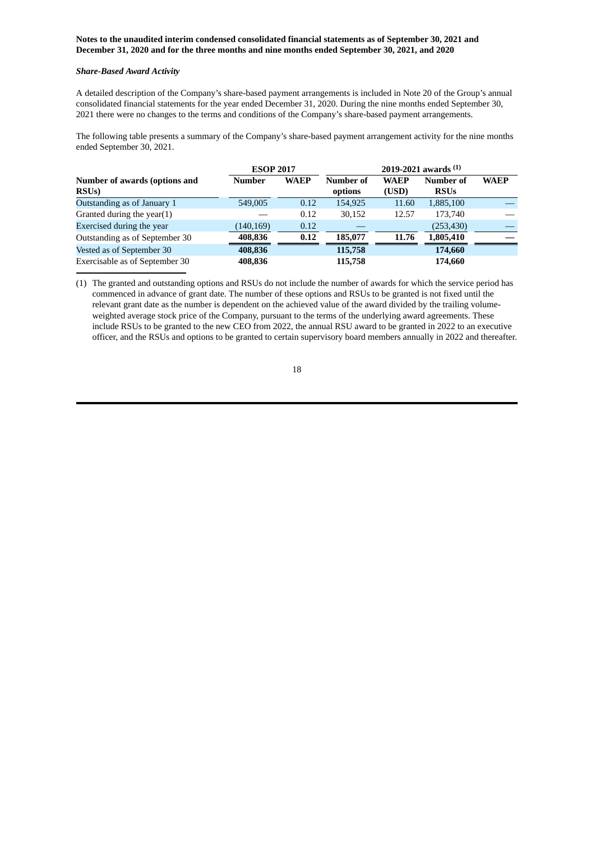# *Share-Based Award Activity*

A detailed description of the Company's share-based payment arrangements is included in Note 20 of the Group's annual consolidated financial statements for the year ended December 31, 2020. During the nine months ended September 30, 2021 there were no changes to the terms and conditions of the Company's share-based payment arrangements.

The following table presents a summary of the Company's share-based payment arrangement activity for the nine months ended September 30, 2021.

|                                | <b>ESOP 2017</b> |             | 2019-2021 awards $(1)$ |             |             |             |
|--------------------------------|------------------|-------------|------------------------|-------------|-------------|-------------|
| Number of awards (options and  | <b>Number</b>    | <b>WAEP</b> | Number of              | <b>WAEP</b> | Number of   | <b>WAEP</b> |
| RSU <sub>s</sub> )             |                  |             | options                | (USD)       | <b>RSUs</b> |             |
| Outstanding as of January 1    | 549,005          | 0.12        | 154,925                | 11.60       | 1,885,100   |             |
| Granted during the year(1)     |                  | 0.12        | 30,152                 | 12.57       | 173.740     |             |
| Exercised during the year      | (140, 169)       | 0.12        |                        |             | (253, 430)  |             |
| Outstanding as of September 30 | 408.836          | 0.12        | 185,077                | 11.76       | 1,805,410   |             |
| Vested as of September 30      | 408,836          |             | 115,758                |             | 174,660     |             |
| Exercisable as of September 30 | 408,836          |             | 115,758                |             | 174,660     |             |

(1) The granted and outstanding options and RSUs do not include the number of awards for which the service period has commenced in advance of grant date. The number of these options and RSUs to be granted is not fixed until the relevant grant date as the number is dependent on the achieved value of the award divided by the trailing volumeweighted average stock price of the Company, pursuant to the terms of the underlying award agreements. These include RSUs to be granted to the new CEO from 2022, the annual RSU award to be granted in 2022 to an executive officer, and the RSUs and options to be granted to certain supervisory board members annually in 2022 and thereafter.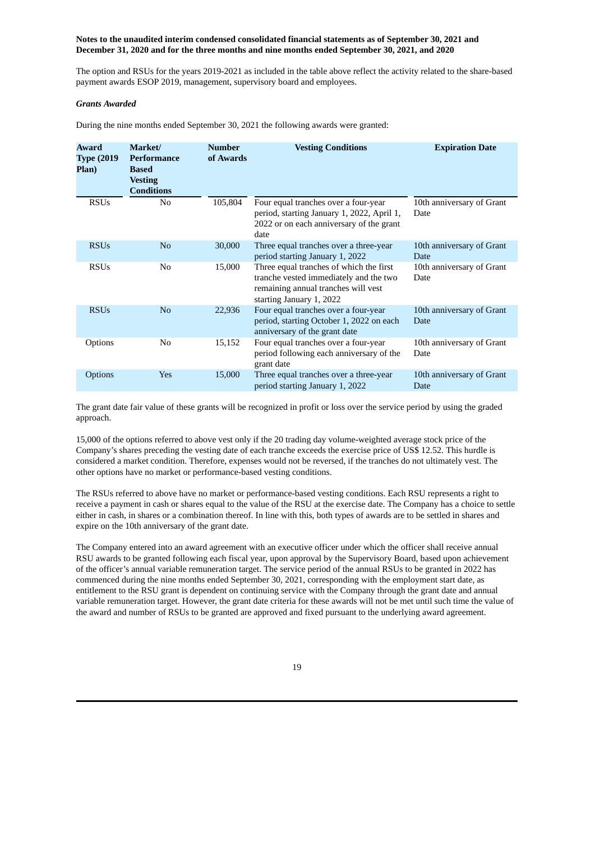The option and RSUs for the years 2019-2021 as included in the table above reflect the activity related to the share-based payment awards ESOP 2019, management, supervisory board and employees.

## *Grants Awarded*

During the nine months ended September 30, 2021 the following awards were granted:

| Award<br><b>Type (2019)</b><br>Plan) | Market/<br>Performance<br><b>Based</b><br><b>Vesting</b><br><b>Conditions</b> | <b>Number</b><br>of Awards | <b>Vesting Conditions</b>                                                                                                                            | <b>Expiration Date</b>            |
|--------------------------------------|-------------------------------------------------------------------------------|----------------------------|------------------------------------------------------------------------------------------------------------------------------------------------------|-----------------------------------|
| <b>RSUs</b>                          | N <sub>0</sub>                                                                | 105,804                    | Four equal tranches over a four-year<br>period, starting January 1, 2022, April 1,<br>2022 or on each anniversary of the grant<br>date               | 10th anniversary of Grant<br>Date |
| <b>RSUs</b>                          | N <sub>o</sub>                                                                | 30,000                     | Three equal tranches over a three-year<br>period starting January 1, 2022                                                                            | 10th anniversary of Grant<br>Date |
| <b>RSUs</b>                          | N <sub>0</sub>                                                                | 15,000                     | Three equal tranches of which the first<br>tranche vested immediately and the two<br>remaining annual tranches will vest<br>starting January 1, 2022 | 10th anniversary of Grant<br>Date |
| <b>RSUs</b>                          | N <sub>0</sub>                                                                | 22,936                     | Four equal tranches over a four-year<br>period, starting October 1, 2022 on each<br>anniversary of the grant date                                    | 10th anniversary of Grant<br>Date |
| Options                              | N <sub>0</sub>                                                                | 15,152                     | Four equal tranches over a four-year<br>period following each anniversary of the<br>grant date                                                       | 10th anniversary of Grant<br>Date |
| Options                              | Yes                                                                           | 15,000                     | Three equal tranches over a three-year<br>period starting January 1, 2022                                                                            | 10th anniversary of Grant<br>Date |

The grant date fair value of these grants will be recognized in profit or loss over the service period by using the graded approach.

15,000 of the options referred to above vest only if the 20 trading day volume-weighted average stock price of the Company's shares preceding the vesting date of each tranche exceeds the exercise price of US\$ 12.52. This hurdle is considered a market condition. Therefore, expenses would not be reversed, if the tranches do not ultimately vest. The other options have no market or performance-based vesting conditions.

The RSUs referred to above have no market or performance-based vesting conditions. Each RSU represents a right to receive a payment in cash or shares equal to the value of the RSU at the exercise date. The Company has a choice to settle either in cash, in shares or a combination thereof. In line with this, both types of awards are to be settled in shares and expire on the 10th anniversary of the grant date.

The Company entered into an award agreement with an executive officer under which the officer shall receive annual RSU awards to be granted following each fiscal year, upon approval by the Supervisory Board, based upon achievement of the officer's annual variable remuneration target. The service period of the annual RSUs to be granted in 2022 has commenced during the nine months ended September 30, 2021, corresponding with the employment start date, as entitlement to the RSU grant is dependent on continuing service with the Company through the grant date and annual variable remuneration target. However, the grant date criteria for these awards will not be met until such time the value of the award and number of RSUs to be granted are approved and fixed pursuant to the underlying award agreement.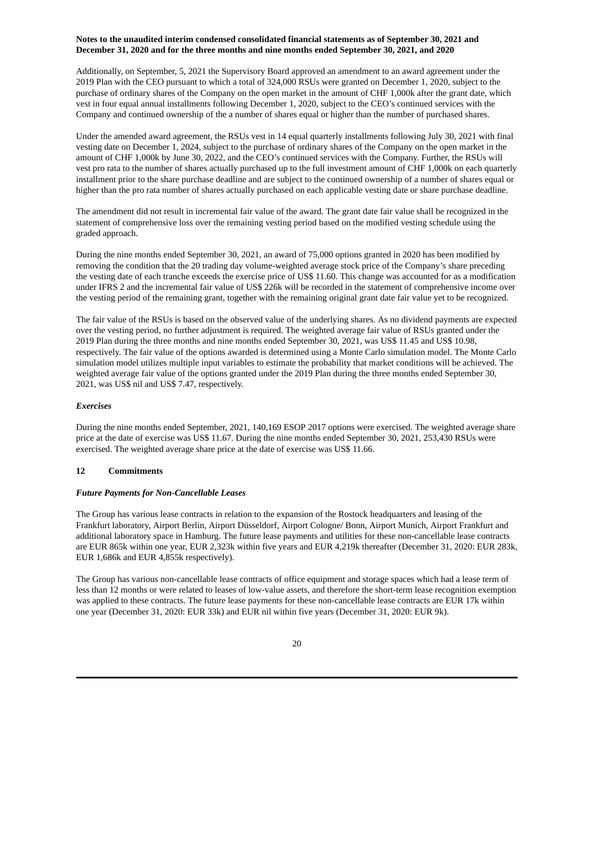Additionally, on September, 5, 2021 the Supervisory Board approved an amendment to an award agreement under the 2019 Plan with the CEO pursuant to which a total of 324,000 RSUs were granted on December 1, 2020, subject to the purchase of ordinary shares of the Company on the open market in the amount of CHF 1,000k after the grant date, which vest in four equal annual installments following December 1, 2020, subject to the CEO's continued services with the Company and continued ownership of the a number of shares equal or higher than the number of purchased shares.

Under the amended award agreement, the RSUs vest in 14 equal quarterly installments following July 30, 2021 with final vesting date on December 1, 2024, subject to the purchase of ordinary shares of the Company on the open market in the amount of CHF 1,000k by June 30, 2022, and the CEO's continued services with the Company. Further, the RSUs will vest pro rata to the number of shares actually purchased up to the full investment amount of CHF 1,000k on each quarterly installment prior to the share purchase deadline and are subject to the continued ownership of a number of shares equal or higher than the pro rata number of shares actually purchased on each applicable vesting date or share purchase deadline.

The amendment did not result in incremental fair value of the award. The grant date fair value shall be recognized in the statement of comprehensive loss over the remaining vesting period based on the modified vesting schedule using the graded approach.

During the nine months ended September 30, 2021, an award of 75,000 options granted in 2020 has been modified by removing the condition that the 20 trading day volume-weighted average stock price of the Company's share preceding the vesting date of each tranche exceeds the exercise price of US\$ 11.60. This change was accounted for as a modification under IFRS 2 and the incremental fair value of US\$ 226k will be recorded in the statement of comprehensive income over the vesting period of the remaining grant, together with the remaining original grant date fair value yet to be recognized.

The fair value of the RSUs is based on the observed value of the underlying shares. As no dividend payments are expected over the vesting period, no further adjustment is required. The weighted average fair value of RSUs granted under the 2019 Plan during the three months and nine months ended September 30, 2021, was US\$ 11.45 and US\$ 10.98, respectively. The fair value of the options awarded is determined using a Monte Carlo simulation model. The Monte Carlo simulation model utilizes multiple input variables to estimate the probability that market conditions will be achieved. The weighted average fair value of the options granted under the 2019 Plan during the three months ended September 30, 2021, was US\$ nil and US\$ 7.47, respectively.

# *Exercises*

During the nine months ended September, 2021, 140,169 ESOP 2017 options were exercised. The weighted average share price at the date of exercise was US\$ 11.67. During the nine months ended September 30, 2021, 253,430 RSUs were exercised. The weighted average share price at the date of exercise was US\$ 11.66.

## **12 Commitments**

## *Future Payments for Non-Cancellable Leases*

The Group has various lease contracts in relation to the expansion of the Rostock headquarters and leasing of the Frankfurt laboratory, Airport Berlin, Airport Düsseldorf, Airport Cologne/ Bonn, Airport Munich, Airport Frankfurt and additional laboratory space in Hamburg. The future lease payments and utilities for these non-cancellable lease contracts are EUR 865k within one year, EUR 2,323k within five years and EUR 4,219k thereafter (December 31, 2020: EUR 283k, EUR 1,686k and EUR 4,855k respectively).

The Group has various non-cancellable lease contracts of office equipment and storage spaces which had a lease term of less than 12 months or were related to leases of low-value assets, and therefore the short-term lease recognition exemption was applied to these contracts. The future lease payments for these non-cancellable lease contracts are EUR 17k within one year (December 31, 2020: EUR 33k) and EUR nil within five years (December 31, 2020: EUR 9k).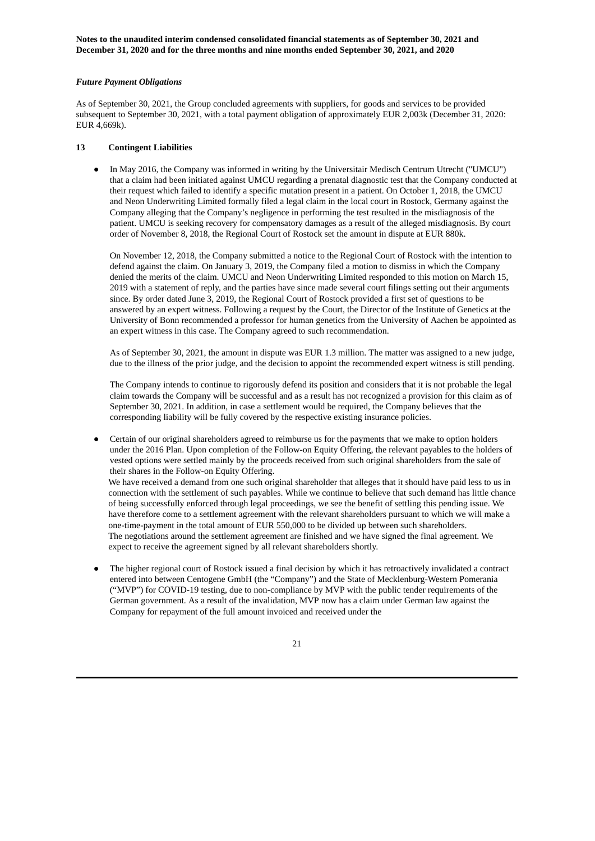### *Future Payment Obligations*

As of September 30, 2021, the Group concluded agreements with suppliers, for goods and services to be provided subsequent to September 30, 2021, with a total payment obligation of approximately EUR 2,003k (December 31, 2020: EUR 4,669k).

## **13 Contingent Liabilities**

● In May 2016, the Company was informed in writing by the Universitair Medisch Centrum Utrecht ("UMCU") that a claim had been initiated against UMCU regarding a prenatal diagnostic test that the Company conducted at their request which failed to identify a specific mutation present in a patient. On October 1, 2018, the UMCU and Neon Underwriting Limited formally filed a legal claim in the local court in Rostock, Germany against the Company alleging that the Company's negligence in performing the test resulted in the misdiagnosis of the patient. UMCU is seeking recovery for compensatory damages as a result of the alleged misdiagnosis. By court order of November 8, 2018, the Regional Court of Rostock set the amount in dispute at EUR 880k.

On November 12, 2018, the Company submitted a notice to the Regional Court of Rostock with the intention to defend against the claim. On January 3, 2019, the Company filed a motion to dismiss in which the Company denied the merits of the claim. UMCU and Neon Underwriting Limited responded to this motion on March 15, 2019 with a statement of reply, and the parties have since made several court filings setting out their arguments since. By order dated June 3, 2019, the Regional Court of Rostock provided a first set of questions to be answered by an expert witness. Following a request by the Court, the Director of the Institute of Genetics at the University of Bonn recommended a professor for human genetics from the University of Aachen be appointed as an expert witness in this case. The Company agreed to such recommendation.

As of September 30, 2021, the amount in dispute was EUR 1.3 million. The matter was assigned to a new judge, due to the illness of the prior judge, and the decision to appoint the recommended expert witness is still pending.

The Company intends to continue to rigorously defend its position and considers that it is not probable the legal claim towards the Company will be successful and as a result has not recognized a provision for this claim as of September 30, 2021. In addition, in case a settlement would be required, the Company believes that the corresponding liability will be fully covered by the respective existing insurance policies.

Certain of our original shareholders agreed to reimburse us for the payments that we make to option holders under the 2016 Plan. Upon completion of the Follow-on Equity Offering, the relevant payables to the holders of vested options were settled mainly by the proceeds received from such original shareholders from the sale of their shares in the Follow-on Equity Offering.

We have received a demand from one such original shareholder that alleges that it should have paid less to us in connection with the settlement of such payables. While we continue to believe that such demand has little chance of being successfully enforced through legal proceedings, we see the benefit of settling this pending issue. We have therefore come to a settlement agreement with the relevant shareholders pursuant to which we will make a one-time-payment in the total amount of EUR 550,000 to be divided up between such shareholders. The negotiations around the settlement agreement are finished and we have signed the final agreement. We expect to receive the agreement signed by all relevant shareholders shortly.

The higher regional court of Rostock issued a final decision by which it has retroactively invalidated a contract entered into between Centogene GmbH (the "Company") and the State of Mecklenburg-Western Pomerania ("MVP") for COVID-19 testing, due to non-compliance by MVP with the public tender requirements of the German government. As a result of the invalidation, MVP now has a claim under German law against the Company for repayment of the full amount invoiced and received under the

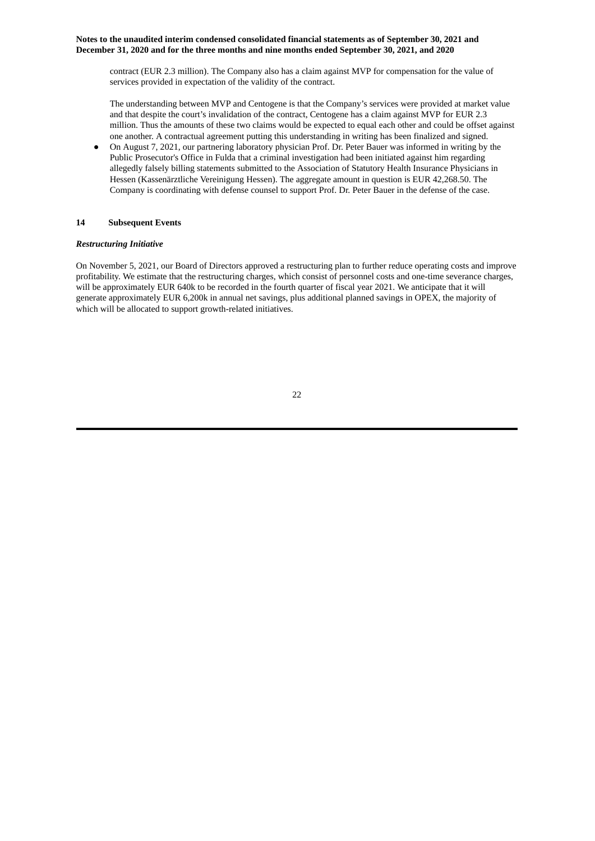contract (EUR 2.3 million). The Company also has a claim against MVP for compensation for the value of services provided in expectation of the validity of the contract.

The understanding between MVP and Centogene is that the Company's services were provided at market value and that despite the court's invalidation of the contract, Centogene has a claim against MVP for EUR 2.3 million. Thus the amounts of these two claims would be expected to equal each other and could be offset against one another. A contractual agreement putting this understanding in writing has been finalized and signed.

On August 7, 2021, our partnering laboratory physician Prof. Dr. Peter Bauer was informed in writing by the Public Prosecutor's Office in Fulda that a criminal investigation had been initiated against him regarding allegedly falsely billing statements submitted to the Association of Statutory Health Insurance Physicians in Hessen (Kassenärztliche Vereinigung Hessen). The aggregate amount in question is EUR 42,268.50. The Company is coordinating with defense counsel to support Prof. Dr. Peter Bauer in the defense of the case.

## **14 Subsequent Events**

## *Restructuring Initiative*

On November 5, 2021, our Board of Directors approved a restructuring plan to further reduce operating costs and improve profitability. We estimate that the restructuring charges, which consist of personnel costs and one-time severance charges, will be approximately EUR 640k to be recorded in the fourth quarter of fiscal year 2021. We anticipate that it will generate approximately EUR 6,200k in annual net savings, plus additional planned savings in OPEX, the majority of which will be allocated to support growth-related initiatives.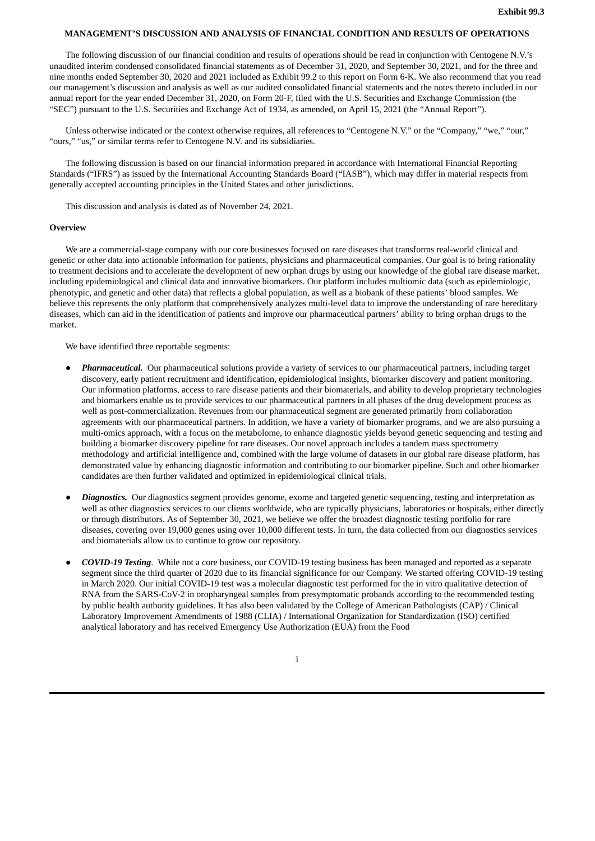#### <span id="page-29-0"></span>**MANAGEMENT'S DISCUSSION AND ANALYSIS OF FINANCIAL CONDITION AND RESULTS OF OPERATIONS**

The following discussion of our financial condition and results of operations should be read in conjunction with Centogene N.V.'s unaudited interim condensed consolidated financial statements as of December 31, 2020, and September 30, 2021, and for the three and nine months ended September 30, 2020 and 2021 included as Exhibit 99.2 to this report on Form 6-K. We also recommend that you read our management's discussion and analysis as well as our audited consolidated financial statements and the notes thereto included in our annual report for the year ended December 31, 2020, on Form 20-F, filed with the U.S. Securities and Exchange Commission (the "SEC") pursuant to the U.S. Securities and Exchange Act of 1934, as amended, on April 15, 2021 (the "Annual Report").

Unless otherwise indicated or the context otherwise requires, all references to "Centogene N.V." or the "Company," "we," "our," "ours," "us," or similar terms refer to Centogene N.V. and its subsidiaries.

The following discussion is based on our financial information prepared in accordance with International Financial Reporting Standards ("IFRS") as issued by the International Accounting Standards Board ("IASB"), which may differ in material respects from generally accepted accounting principles in the United States and other jurisdictions.

This discussion and analysis is dated as of November 24, 2021.

## **Overview**

We are a commercial-stage company with our core businesses focused on rare diseases that transforms real-world clinical and genetic or other data into actionable information for patients, physicians and pharmaceutical companies. Our goal is to bring rationality to treatment decisions and to accelerate the development of new orphan drugs by using our knowledge of the global rare disease market, including epidemiological and clinical data and innovative biomarkers. Our platform includes multiomic data (such as epidemiologic, phenotypic, and genetic and other data) that reflects a global population, as well as a biobank of these patients' blood samples. We believe this represents the only platform that comprehensively analyzes multi-level data to improve the understanding of rare hereditary diseases, which can aid in the identification of patients and improve our pharmaceutical partners' ability to bring orphan drugs to the market.

We have identified three reportable segments:

- **Pharmaceutical.** Our pharmaceutical solutions provide a variety of services to our pharmaceutical partners, including target discovery, early patient recruitment and identification, epidemiological insights, biomarker discovery and patient monitoring. Our information platforms, access to rare disease patients and their biomaterials, and ability to develop proprietary technologies and biomarkers enable us to provide services to our pharmaceutical partners in all phases of the drug development process as well as post-commercialization. Revenues from our pharmaceutical segment are generated primarily from collaboration agreements with our pharmaceutical partners. In addition, we have a variety of biomarker programs, and we are also pursuing a multi-omics approach, with a focus on the metabolome, to enhance diagnostic yields beyond genetic sequencing and testing and building a biomarker discovery pipeline for rare diseases. Our novel approach includes a tandem mass spectrometry methodology and artificial intelligence and, combined with the large volume of datasets in our global rare disease platform, has demonstrated value by enhancing diagnostic information and contributing to our biomarker pipeline. Such and other biomarker candidates are then further validated and optimized in epidemiological clinical trials.
- *Diagnostics.* Our diagnostics segment provides genome, exome and targeted genetic sequencing, testing and interpretation as well as other diagnostics services to our clients worldwide, who are typically physicians, laboratories or hospitals, either directly or through distributors. As of September 30, 2021, we believe we offer the broadest diagnostic testing portfolio for rare diseases, covering over 19,000 genes using over 10,000 different tests. In turn, the data collected from our diagnostics services and biomaterials allow us to continue to grow our repository.
- *COVID-19 Testing*. While not a core business, our COVID-19 testing business has been managed and reported as a separate segment since the third quarter of 2020 due to its financial significance for our Company. We started offering COVID-19 testing in March 2020. Our initial COVID-19 test was a molecular diagnostic test performed for the in vitro qualitative detection of RNA from the SARS-CoV-2 in oropharyngeal samples from presymptomatic probands according to the recommended testing by public health authority guidelines. It has also been validated by the College of American Pathologists (CAP) / Clinical Laboratory Improvement Amendments of 1988 (CLIA) / International Organization for Standardization (ISO) certified analytical laboratory and has received Emergency Use Authorization (EUA) from the Food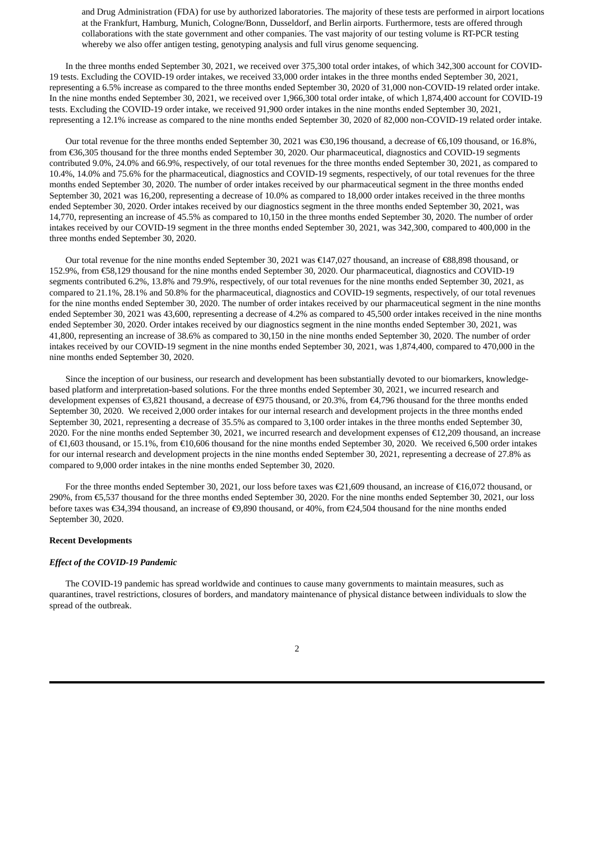and Drug Administration (FDA) for use by authorized laboratories. The majority of these tests are performed in airport locations at the Frankfurt, Hamburg, Munich, Cologne/Bonn, Dusseldorf, and Berlin airports. Furthermore, tests are offered through collaborations with the state government and other companies. The vast majority of our testing volume is RT-PCR testing whereby we also offer antigen testing, genotyping analysis and full virus genome sequencing.

In the three months ended September 30, 2021, we received over 375,300 total order intakes, of which 342,300 account for COVID-19 tests. Excluding the COVID-19 order intakes, we received 33,000 order intakes in the three months ended September 30, 2021, representing a 6.5% increase as compared to the three months ended September 30, 2020 of 31,000 non-COVID-19 related order intake. In the nine months ended September 30, 2021, we received over 1,966,300 total order intake, of which 1,874,400 account for COVID-19 tests. Excluding the COVID-19 order intake, we received 91,900 order intakes in the nine months ended September 30, 2021, representing a 12.1% increase as compared to the nine months ended September 30, 2020 of 82,000 non-COVID-19 related order intake.

Our total revenue for the three months ended September 30, 2021 was €30,196 thousand, a decrease of €6,109 thousand, or 16.8%, from €36,305 thousand for the three months ended September 30, 2020. Our pharmaceutical, diagnostics and COVID-19 segments contributed 9.0%, 24.0% and 66.9%, respectively, of our total revenues for the three months ended September 30, 2021, as compared to 10.4%, 14.0% and 75.6% for the pharmaceutical, diagnostics and COVID-19 segments, respectively, of our total revenues for the three months ended September 30, 2020. The number of order intakes received by our pharmaceutical segment in the three months ended September 30, 2021 was 16,200, representing a decrease of 10.0% as compared to 18,000 order intakes received in the three months ended September 30, 2020. Order intakes received by our diagnostics segment in the three months ended September 30, 2021, was 14,770, representing an increase of 45.5% as compared to 10,150 in the three months ended September 30, 2020. The number of order intakes received by our COVID-19 segment in the three months ended September 30, 2021, was 342,300, compared to 400,000 in the three months ended September 30, 2020.

Our total revenue for the nine months ended September 30, 2021 was €147,027 thousand, an increase of €88,898 thousand, or 152.9%, from €58,129 thousand for the nine months ended September 30, 2020. Our pharmaceutical, diagnostics and COVID-19 segments contributed 6.2%, 13.8% and 79.9%, respectively, of our total revenues for the nine months ended September 30, 2021, as compared to 21.1%, 28.1% and 50.8% for the pharmaceutical, diagnostics and COVID-19 segments, respectively, of our total revenues for the nine months ended September 30, 2020. The number of order intakes received by our pharmaceutical segment in the nine months ended September 30, 2021 was 43,600, representing a decrease of 4.2% as compared to 45,500 order intakes received in the nine months ended September 30, 2020. Order intakes received by our diagnostics segment in the nine months ended September 30, 2021, was 41,800, representing an increase of 38.6% as compared to 30,150 in the nine months ended September 30, 2020. The number of order intakes received by our COVID-19 segment in the nine months ended September 30, 2021, was 1,874,400, compared to 470,000 in the nine months ended September 30, 2020.

Since the inception of our business, our research and development has been substantially devoted to our biomarkers, knowledgebased platform and interpretation-based solutions. For the three months ended September 30, 2021, we incurred research and development expenses of €3,821 thousand, a decrease of €975 thousand, or 20.3%, from €4,796 thousand for the three months ended September 30, 2020. We received 2,000 order intakes for our internal research and development projects in the three months ended September 30, 2021, representing a decrease of 35.5% as compared to 3,100 order intakes in the three months ended September 30, 2020. For the nine months ended September 30, 2021, we incurred research and development expenses of €12,209 thousand, an increase of €1,603 thousand, or 15.1%, from €10,606 thousand for the nine months ended September 30, 2020. We received 6,500 order intakes for our internal research and development projects in the nine months ended September 30, 2021, representing a decrease of 27.8% as compared to 9,000 order intakes in the nine months ended September 30, 2020.

For the three months ended September 30, 2021, our loss before taxes was €21,609 thousand, an increase of €16,072 thousand, or 290%, from €5,537 thousand for the three months ended September 30, 2020. For the nine months ended September 30, 2021, our loss before taxes was €34,394 thousand, an increase of €9,890 thousand, or 40%, from €24,504 thousand for the nine months ended September 30, 2020.

#### **Recent Developments**

#### *Effect of the COVID-19 Pandemic*

The COVID-19 pandemic has spread worldwide and continues to cause many governments to maintain measures, such as quarantines, travel restrictions, closures of borders, and mandatory maintenance of physical distance between individuals to slow the spread of the outbreak.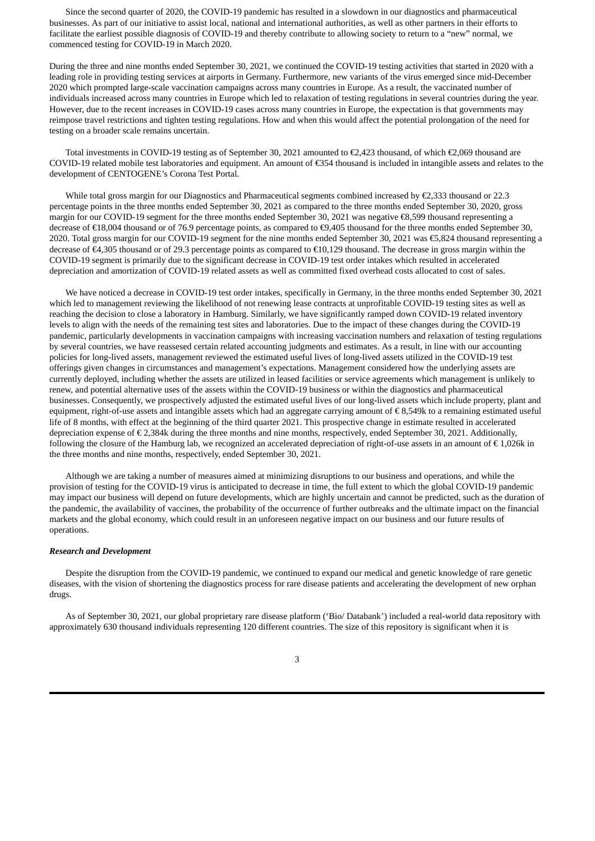Since the second quarter of 2020, the COVID-19 pandemic has resulted in a slowdown in our diagnostics and pharmaceutical businesses. As part of our initiative to assist local, national and international authorities, as well as other partners in their efforts to facilitate the earliest possible diagnosis of COVID-19 and thereby contribute to allowing society to return to a "new" normal, we commenced testing for COVID-19 in March 2020.

During the three and nine months ended September 30, 2021, we continued the COVID-19 testing activities that started in 2020 with a leading role in providing testing services at airports in Germany. Furthermore, new variants of the virus emerged since mid-December 2020 which prompted large-scale vaccination campaigns across many countries in Europe. As a result, the vaccinated number of individuals increased across many countries in Europe which led to relaxation of testing regulations in several countries during the year. However, due to the recent increases in COVID-19 cases across many countries in Europe, the expectation is that governments may reimpose travel restrictions and tighten testing regulations. How and when this would affect the potential prolongation of the need for testing on a broader scale remains uncertain.

Total investments in COVID-19 testing as of September 30, 2021 amounted to €2,423 thousand, of which €2,069 thousand are COVID-19 related mobile test laboratories and equipment. An amount of €354 thousand is included in intangible assets and relates to the development of CENTOGENE's Corona Test Portal.

While total gross margin for our Diagnostics and Pharmaceutical segments combined increased by €2,333 thousand or 22.3 percentage points in the three months ended September 30, 2021 as compared to the three months ended September 30, 2020, gross margin for our COVID-19 segment for the three months ended September 30, 2021 was negative €8,599 thousand representing a decrease of €18,004 thousand or of 76.9 percentage points, as compared to €9,405 thousand for the three months ended September 30, 2020. Total gross margin for our COVID-19 segment for the nine months ended September 30, 2021 was €5,824 thousand representing a decrease of €4,305 thousand or of 29.3 percentage points as compared to €10,129 thousand. The decrease in gross margin within the COVID-19 segment is primarily due to the significant decrease in COVID-19 test order intakes which resulted in accelerated depreciation and amortization of COVID-19 related assets as well as committed fixed overhead costs allocated to cost of sales.

We have noticed a decrease in COVID-19 test order intakes, specifically in Germany, in the three months ended September 30, 2021 which led to management reviewing the likelihood of not renewing lease contracts at unprofitable COVID-19 testing sites as well as reaching the decision to close a laboratory in Hamburg. Similarly, we have significantly ramped down COVID-19 related inventory levels to align with the needs of the remaining test sites and laboratories. Due to the impact of these changes during the COVID-19 pandemic, particularly developments in vaccination campaigns with increasing vaccination numbers and relaxation of testing regulations by several countries, we have reassesed certain related accounting judgments and estimates. As a result, in line with our accounting policies for long-lived assets, management reviewed the estimated useful lives of long-lived assets utilized in the COVID-19 test offerings given changes in circumstances and management's expectations. Management considered how the underlying assets are currently deployed, including whether the assets are utilized in leased facilities or service agreements which management is unlikely to renew, and potential alternative uses of the assets within the COVID-19 business or within the diagnostics and pharmaceutical businesses. Consequently, we prospectively adjusted the estimated useful lives of our long-lived assets which include property, plant and equipment, right-of-use assets and intangible assets which had an aggregate carrying amount of  $\epsilon$  8,549k to a remaining estimated useful life of 8 months, with effect at the beginning of the third quarter 2021. This prospective change in estimate resulted in accelerated depreciation expense of € 2,384k during the three months and nine months, respectively, ended September 30, 2021. Additionally, following the closure of the Hamburg lab, we recognized an accelerated depreciation of right-of-use assets in an amount of  $\epsilon$  1,026k in the three months and nine months, respectively, ended September 30, 2021.

Although we are taking a number of measures aimed at minimizing disruptions to our business and operations, and while the provision of testing for the COVID-19 virus is anticipated to decrease in time, the full extent to which the global COVID-19 pandemic may impact our business will depend on future developments, which are highly uncertain and cannot be predicted, such as the duration of the pandemic, the availability of vaccines, the probability of the occurrence of further outbreaks and the ultimate impact on the financial markets and the global economy, which could result in an unforeseen negative impact on our business and our future results of operations.

#### *Research and Development*

Despite the disruption from the COVID-19 pandemic, we continued to expand our medical and genetic knowledge of rare genetic diseases, with the vision of shortening the diagnostics process for rare disease patients and accelerating the development of new orphan drugs.

As of September 30, 2021, our global proprietary rare disease platform ('Bio/ Databank') included a real-world data repository with approximately 630 thousand individuals representing 120 different countries. The size of this repository is significant when it is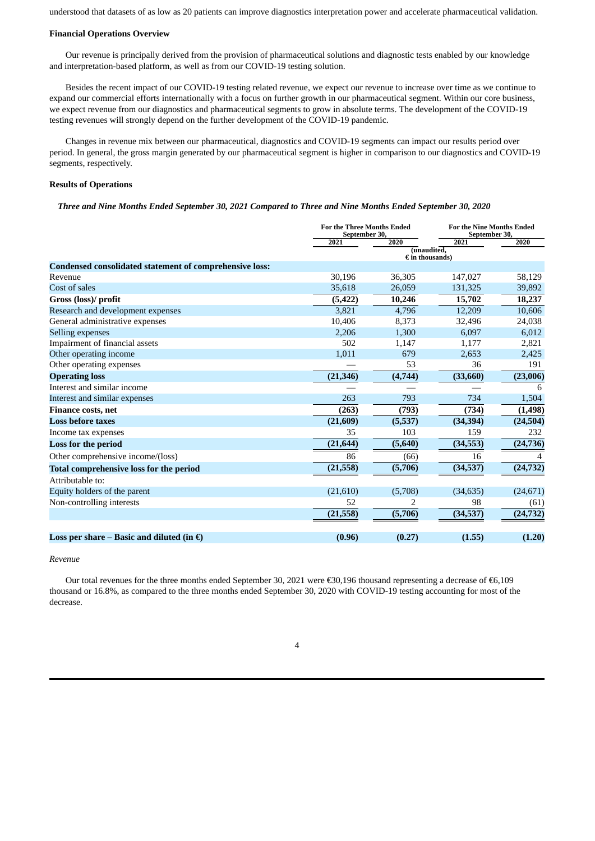understood that datasets of as low as 20 patients can improve diagnostics interpretation power and accelerate pharmaceutical validation.

### **Financial Operations Overview**

Our revenue is principally derived from the provision of pharmaceutical solutions and diagnostic tests enabled by our knowledge and interpretation-based platform, as well as from our COVID-19 testing solution.

Besides the recent impact of our COVID-19 testing related revenue, we expect our revenue to increase over time as we continue to expand our commercial efforts internationally with a focus on further growth in our pharmaceutical segment. Within our core business, we expect revenue from our diagnostics and pharmaceutical segments to grow in absolute terms. The development of the COVID-19 testing revenues will strongly depend on the further development of the COVID-19 pandemic.

Changes in revenue mix between our pharmaceutical, diagnostics and COVID-19 segments can impact our results period over period. In general, the gross margin generated by our pharmaceutical segment is higher in comparison to our diagnostics and COVID-19 segments, respectively.

#### **Results of Operations**

Three and Nine Months Ended September 30, 2021 Compared to Three and Nine Months Ended September 30, 2020

|                                                                |           | <b>For the Three Months Ended</b><br>September 30, |           | <b>For the Nine Months Ended</b><br>September 30, |  |
|----------------------------------------------------------------|-----------|----------------------------------------------------|-----------|---------------------------------------------------|--|
|                                                                | 2021      | 2020                                               | 2021      | 2020                                              |  |
|                                                                |           | (unaudited.<br>$\epsilon$ in thousands)            |           |                                                   |  |
| <b>Condensed consolidated statement of comprehensive loss:</b> |           |                                                    |           |                                                   |  |
| Revenue                                                        | 30,196    | 36,305                                             | 147,027   | 58,129                                            |  |
| Cost of sales                                                  | 35,618    | 26,059                                             | 131,325   | 39,892                                            |  |
| Gross (loss)/ profit                                           | (5, 422)  | 10,246                                             | 15,702    | 18,237                                            |  |
| Research and development expenses                              | 3.821     | 4,796                                              | 12,209    | 10,606                                            |  |
| General administrative expenses                                | 10,406    | 8,373                                              | 32,496    | 24,038                                            |  |
| Selling expenses                                               | 2,206     | 1,300                                              | 6,097     | 6,012                                             |  |
| Impairment of financial assets                                 | 502       | 1,147                                              | 1,177     | 2,821                                             |  |
| Other operating income                                         | 1,011     | 679                                                | 2,653     | 2,425                                             |  |
| Other operating expenses                                       |           | 53                                                 | 36        | 191                                               |  |
| <b>Operating loss</b>                                          | (21, 346) | (4,744)                                            | (33,660)  | (23,006)                                          |  |
| Interest and similar income                                    |           |                                                    |           | 6                                                 |  |
| Interest and similar expenses                                  | 263       | 793                                                | 734       | 1,504                                             |  |
| <b>Finance costs, net</b>                                      | (263)     | (793)                                              | (734)     | (1, 498)                                          |  |
| <b>Loss before taxes</b>                                       | (21,609)  | (5,537)                                            | (34, 394) | (24, 504)                                         |  |
| Income tax expenses                                            | 35        | 103                                                | 159       | 232                                               |  |
| Loss for the period                                            | (21, 644) | (5,640)                                            | (34, 553) | (24, 736)                                         |  |
| Other comprehensive income/(loss)                              | 86        | (66)                                               | 16        | 4                                                 |  |
| <b>Total comprehensive loss for the period</b>                 | (21, 558) | (5,706)                                            | (34, 537) | (24, 732)                                         |  |
| Attributable to:                                               |           |                                                    |           |                                                   |  |
| Equity holders of the parent                                   | (21,610)  | (5,708)                                            | (34, 635) | (24, 671)                                         |  |
| Non-controlling interests                                      | 52        |                                                    | 98        | (61)                                              |  |
|                                                                | (21, 558) | (5,706)                                            | (34,537)  | (24, 732)                                         |  |
|                                                                |           |                                                    |           |                                                   |  |
| Loss per share – Basic and diluted (in $\epsilon$ )            | (0.96)    | (0.27)                                             | (1.55)    | (1.20)                                            |  |

#### *Revenue*

Our total revenues for the three months ended September 30, 2021 were €30,196 thousand representing a decrease of €6,109 thousand or 16.8%, as compared to the three months ended September 30, 2020 with COVID-19 testing accounting for most of the decrease.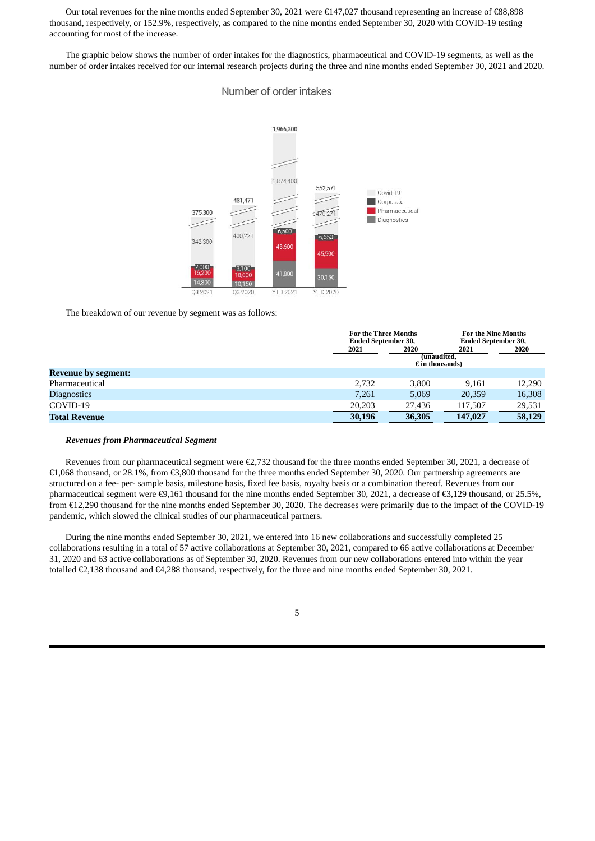Our total revenues for the nine months ended September 30, 2021 were €147,027 thousand representing an increase of €88,898 thousand, respectively, or 152.9%, respectively, as compared to the nine months ended September 30, 2020 with COVID-19 testing accounting for most of the increase.

The graphic below shows the number of order intakes for the diagnostics, pharmaceutical and COVID-19 segments, as well as the number of order intakes received for our internal research projects during the three and nine months ended September 30, 2021 and 2020.

# Number of order intakes



The breakdown of our revenue by segment was as follows:

|                            | <b>For the Three Months</b><br><b>Ended September 30.</b> |                                                 | <b>For the Nine Months</b><br><b>Ended September 30,</b> |        |  |
|----------------------------|-----------------------------------------------------------|-------------------------------------------------|----------------------------------------------------------|--------|--|
|                            | 2021                                                      | 2021<br>(unaudited.<br>$\epsilon$ in thousands) | 2020                                                     |        |  |
| <b>Revenue by segment:</b> |                                                           |                                                 |                                                          |        |  |
| Pharmaceutical             | 2,732                                                     | 3,800                                           | 9.161                                                    | 12,290 |  |
| <b>Diagnostics</b>         | 7.261                                                     | 5,069                                           | 20,359                                                   | 16,308 |  |
| COVID-19                   | 20,203                                                    | 27,436                                          | 117,507                                                  | 29,531 |  |
| <b>Total Revenue</b>       | 30,196                                                    | 36,305                                          | 147,027                                                  | 58,129 |  |

#### *Revenues from Pharmaceutical Segment*

Revenues from our pharmaceutical segment were €2,732 thousand for the three months ended September 30, 2021, a decrease of €1,068 thousand, or 28.1%, from €3,800 thousand for the three months ended September 30, 2020. Our partnership agreements are structured on a fee- per- sample basis, milestone basis, fixed fee basis, royalty basis or a combination thereof. Revenues from our pharmaceutical segment were €9,161 thousand for the nine months ended September 30, 2021, a decrease of €3,129 thousand, or 25.5%, from €12,290 thousand for the nine months ended September 30, 2020. The decreases were primarily due to the impact of the COVID-19 pandemic, which slowed the clinical studies of our pharmaceutical partners.

During the nine months ended September 30, 2021, we entered into 16 new collaborations and successfully completed 25 collaborations resulting in a total of 57 active collaborations at September 30, 2021, compared to 66 active collaborations at December 31, 2020 and 63 active collaborations as of September 30, 2020. Revenues from our new collaborations entered into within the year totalled €2,138 thousand and €4,288 thousand, respectively, for the three and nine months ended September 30, 2021.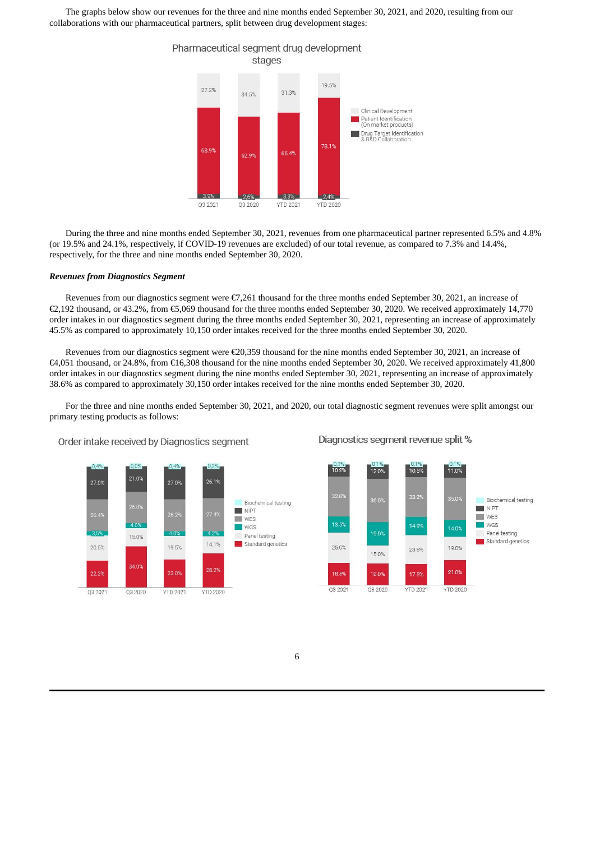The graphs below show our revenues for the three and nine months ended September 30, 2021, and 2020, resulting from our collaborations with our pharmaceutical partners, split between drug development stages:



During the three and nine months ended September 30, 2021, revenues from one pharmaceutical partner represented 6.5% and 4.8% (or 19.5% and 24.1%, respectively, if COVID-19 revenues are excluded) of our total revenue, as compared to 7.3% and 14.4%, respectively, for the three and nine months ended September 30, 2020.

#### *Revenues from Diagnostics Segment*

Revenues from our diagnostics segment were €7,261 thousand for the three months ended September 30, 2021, an increase of €2,192 thousand, or 43.2%, from €5,069 thousand for the three months ended September 30, 2020. We received approximately 14,770 order intakes in our diagnostics segment during the three months ended September 30, 2021, representing an increase of approximately 45.5% as compared to approximately 10,150 order intakes received for the three months ended September 30, 2020.

Revenues from our diagnostics segment were €20,359 thousand for the nine months ended September 30, 2021, an increase of €4,051 thousand, or 24.8%, from €16,308 thousand for the nine months ended September 30, 2020. We received approximately 41,800 order intakes in our diagnostics segment during the nine months ended September 30, 2021, representing an increase of approximately 38.6% as compared to approximately 30,150 order intakes received for the nine months ended September 30, 2020.

For the three and nine months ended September 30, 2021, and 2020, our total diagnostic segment revenues were split amongst our primary testing products as follows:



Order intake received by Diagnostics segment

Diagnostics segment revenue split %

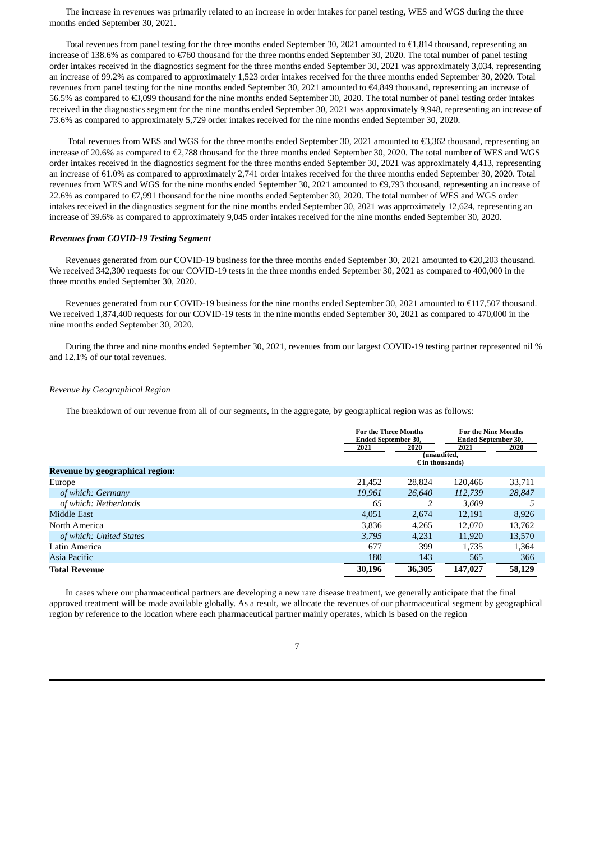The increase in revenues was primarily related to an increase in order intakes for panel testing, WES and WGS during the three months ended September 30, 2021.

Total revenues from panel testing for the three months ended September 30, 2021 amounted to €1,814 thousand, representing an increase of 138.6% as compared to €760 thousand for the three months ended September 30, 2020. The total number of panel testing order intakes received in the diagnostics segment for the three months ended September 30, 2021 was approximately 3,034, representing an increase of 99.2% as compared to approximately 1,523 order intakes received for the three months ended September 30, 2020. Total revenues from panel testing for the nine months ended September 30, 2021 amounted to €4,849 thousand, representing an increase of 56.5% as compared to €3,099 thousand for the nine months ended September 30, 2020. The total number of panel testing order intakes received in the diagnostics segment for the nine months ended September 30, 2021 was approximately 9,948, representing an increase of 73.6% as compared to approximately 5,729 order intakes received for the nine months ended September 30, 2020.

Total revenues from WES and WGS for the three months ended September 30, 2021 amounted to €3,362 thousand, representing an increase of 20.6% as compared to €2,788 thousand for the three months ended September 30, 2020. The total number of WES and WGS order intakes received in the diagnostics segment for the three months ended September 30, 2021 was approximately 4,413, representing an increase of 61.0% as compared to approximately 2,741 order intakes received for the three months ended September 30, 2020. Total revenues from WES and WGS for the nine months ended September 30, 2021 amounted to €9,793 thousand, representing an increase of 22.6% as compared to €7,991 thousand for the nine months ended September 30, 2020. The total number of WES and WGS order intakes received in the diagnostics segment for the nine months ended September 30, 2021 was approximately 12,624, representing an increase of 39.6% as compared to approximately 9,045 order intakes received for the nine months ended September 30, 2020.

## *Revenues from COVID-19 Testing Segment*

Revenues generated from our COVID-19 business for the three months ended September 30, 2021 amounted to €20,203 thousand. We received 342,300 requests for our COVID-19 tests in the three months ended September 30, 2021 as compared to 400,000 in the three months ended September 30, 2020.

Revenues generated from our COVID-19 business for the nine months ended September 30, 2021 amounted to €117,507 thousand. We received 1,874,400 requests for our COVID-19 tests in the nine months ended September 30, 2021 as compared to 470,000 in the nine months ended September 30, 2020.

During the three and nine months ended September 30, 2021, revenues from our largest COVID-19 testing partner represented nil % and 12.1% of our total revenues.

## *Revenue by Geographical Region*

The breakdown of our revenue from all of our segments, in the aggregate, by geographical region was as follows:

|                                 | <b>For the Three Months</b><br><b>Ended September 30,</b> |                                         | <b>For the Nine Months</b><br>Ended September 30, |        |  |
|---------------------------------|-----------------------------------------------------------|-----------------------------------------|---------------------------------------------------|--------|--|
|                                 | 2021                                                      | 2020                                    | 2021                                              | 2020   |  |
|                                 |                                                           | (unaudited,<br>$\epsilon$ in thousands) |                                                   |        |  |
| Revenue by geographical region: |                                                           |                                         |                                                   |        |  |
| Europe                          | 21,452                                                    | 28,824                                  | 120,466                                           | 33,711 |  |
| of which: Germany               | 19.961                                                    | 26,640                                  | 112,739                                           | 28.847 |  |
| of which: Netherlands           | 65                                                        |                                         | 3.609                                             | 5      |  |
| Middle East                     | 4,051                                                     | 2,674                                   | 12,191                                            | 8,926  |  |
| North America                   | 3,836                                                     | 4,265                                   | 12.070                                            | 13,762 |  |
| of which: United States         | 3.795                                                     | 4.231                                   | 11.920                                            | 13,570 |  |
| Latin America                   | 677                                                       | 399                                     | 1.735                                             | 1,364  |  |
| Asia Pacific                    | 180                                                       | 143                                     | 565                                               | 366    |  |
| <b>Total Revenue</b>            | 30,196                                                    | 36,305                                  | 147,027                                           | 58,129 |  |

In cases where our pharmaceutical partners are developing a new rare disease treatment, we generally anticipate that the final approved treatment will be made available globally. As a result, we allocate the revenues of our pharmaceutical segment by geographical region by reference to the location where each pharmaceutical partner mainly operates, which is based on the region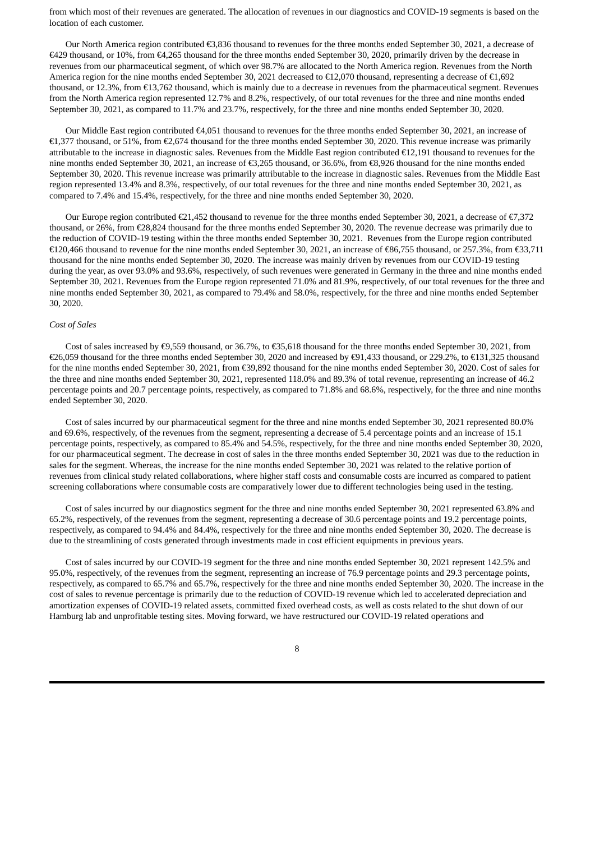from which most of their revenues are generated. The allocation of revenues in our diagnostics and COVID-19 segments is based on the location of each customer.

Our North America region contributed €3,836 thousand to revenues for the three months ended September 30, 2021, a decrease of €429 thousand, or 10%, from €4,265 thousand for the three months ended September 30, 2020, primarily driven by the decrease in revenues from our pharmaceutical segment, of which over 98.7% are allocated to the North America region. Revenues from the North America region for the nine months ended September 30, 2021 decreased to €12,070 thousand, representing a decrease of €1,692 thousand, or 12.3%, from €13,762 thousand, which is mainly due to a decrease in revenues from the pharmaceutical segment. Revenues from the North America region represented 12.7% and 8.2%, respectively, of our total revenues for the three and nine months ended September 30, 2021, as compared to 11.7% and 23.7%, respectively, for the three and nine months ended September 30, 2020.

Our Middle East region contributed €4,051 thousand to revenues for the three months ended September 30, 2021, an increase of €1,377 thousand, or 51%, from €2,674 thousand for the three months ended September 30, 2020. This revenue increase was primarily attributable to the increase in diagnostic sales. Revenues from the Middle East region contributed €12,191 thousand to revenues for the nine months ended September 30, 2021, an increase of €3,265 thousand, or 36.6%, from €8,926 thousand for the nine months ended September 30, 2020. This revenue increase was primarily attributable to the increase in diagnostic sales. Revenues from the Middle East region represented 13.4% and 8.3%, respectively, of our total revenues for the three and nine months ended September 30, 2021, as compared to 7.4% and 15.4%, respectively, for the three and nine months ended September 30, 2020.

Our Europe region contributed  $\epsilon$ 21,452 thousand to revenue for the three months ended September 30, 2021, a decrease of  $\epsilon$ 7,372 thousand, or 26%, from €28,824 thousand for the three months ended September 30, 2020. The revenue decrease was primarily due to the reduction of COVID-19 testing within the three months ended September 30, 2021. Revenues from the Europe region contributed €120,466 thousand to revenue for the nine months ended September 30, 2021, an increase of €86,755 thousand, or 257.3%, from €33,711 thousand for the nine months ended September 30, 2020. The increase was mainly driven by revenues from our COVID-19 testing during the year, as over 93.0% and 93.6%, respectively, of such revenues were generated in Germany in the three and nine months ended September 30, 2021. Revenues from the Europe region represented 71.0% and 81.9%, respectively, of our total revenues for the three and nine months ended September 30, 2021, as compared to 79.4% and 58.0%, respectively, for the three and nine months ended September 30, 2020.

#### *Cost of Sales*

Cost of sales increased by  $\epsilon$ 9,559 thousand, or 36.7%, to  $\epsilon$ 35,618 thousand for the three months ended September 30, 2021, from €26,059 thousand for the three months ended September 30, 2020 and increased by €91,433 thousand, or 229.2%, to €131,325 thousand for the nine months ended September 30, 2021, from €39,892 thousand for the nine months ended September 30, 2020. Cost of sales for the three and nine months ended September 30, 2021, represented 118.0% and 89.3% of total revenue, representing an increase of 46.2 percentage points and 20.7 percentage points, respectively, as compared to 71.8% and 68.6%, respectively, for the three and nine months ended September 30, 2020.

Cost of sales incurred by our pharmaceutical segment for the three and nine months ended September 30, 2021 represented 80.0% and 69.6%, respectively, of the revenues from the segment, representing a decrease of 5.4 percentage points and an increase of 15.1 percentage points, respectively, as compared to 85.4% and 54.5%, respectively, for the three and nine months ended September 30, 2020, for our pharmaceutical segment. The decrease in cost of sales in the three months ended September 30, 2021 was due to the reduction in sales for the segment. Whereas, the increase for the nine months ended September 30, 2021 was related to the relative portion of revenues from clinical study related collaborations, where higher staff costs and consumable costs are incurred as compared to patient screening collaborations where consumable costs are comparatively lower due to different technologies being used in the testing.

Cost of sales incurred by our diagnostics segment for the three and nine months ended September 30, 2021 represented 63.8% and 65.2%, respectively, of the revenues from the segment, representing a decrease of 30.6 percentage points and 19.2 percentage points, respectively, as compared to 94.4% and 84.4%, respectively for the three and nine months ended September 30, 2020. The decrease is due to the streamlining of costs generated through investments made in cost efficient equipments in previous years.

Cost of sales incurred by our COVID-19 segment for the three and nine months ended September 30, 2021 represent 142.5% and 95.0%, respectively, of the revenues from the segment, representing an increase of 76.9 percentage points and 29.3 percentage points, respectively, as compared to 65.7% and 65.7%, respectively for the three and nine months ended September 30, 2020. The increase in the cost of sales to revenue percentage is primarily due to the reduction of COVID-19 revenue which led to accelerated depreciation and amortization expenses of COVID-19 related assets, committed fixed overhead costs, as well as costs related to the shut down of our Hamburg lab and unprofitable testing sites. Moving forward, we have restructured our COVID-19 related operations and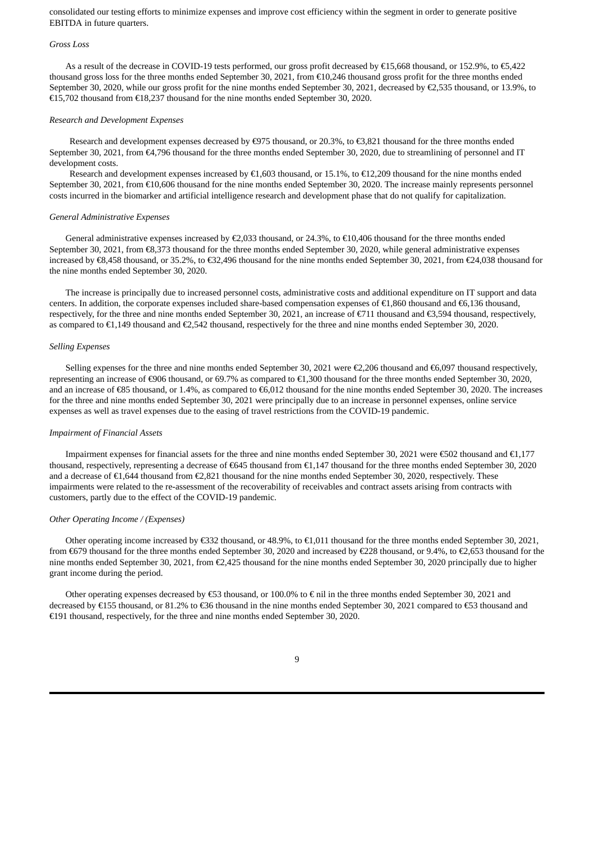consolidated our testing efforts to minimize expenses and improve cost efficiency within the segment in order to generate positive EBITDA in future quarters.

#### *Gross Loss*

As a result of the decrease in COVID-19 tests performed, our gross profit decreased by €15,668 thousand, or 152.9%, to €5,422 thousand gross loss for the three months ended September 30, 2021, from €10,246 thousand gross profit for the three months ended September 30, 2020, while our gross profit for the nine months ended September 30, 2021, decreased by €2,535 thousand, or 13.9%, to €15,702 thousand from €18,237 thousand for the nine months ended September 30, 2020.

#### *Research and Development Expenses*

Research and development expenses decreased by €975 thousand, or 20.3%, to €3,821 thousand for the three months ended September 30, 2021, from €4,796 thousand for the three months ended September 30, 2020, due to streamlining of personnel and IT development costs.

Research and development expenses increased by  $\epsilon$ 1,603 thousand, or 15.1%, to  $\epsilon$ 12,209 thousand for the nine months ended September 30, 2021, from €10,606 thousand for the nine months ended September 30, 2020. The increase mainly represents personnel costs incurred in the biomarker and artificial intelligence research and development phase that do not qualify for capitalization.

#### *General Administrative Expenses*

General administrative expenses increased by  $\epsilon$ 2,033 thousand, or 24.3%, to  $\epsilon$ 10,406 thousand for the three months ended September 30, 2021, from €8,373 thousand for the three months ended September 30, 2020, while general administrative expenses increased by €8,458 thousand, or 35.2%, to €32,496 thousand for the nine months ended September 30, 2021, from €24,038 thousand for the nine months ended September 30, 2020.

The increase is principally due to increased personnel costs, administrative costs and additional expenditure on IT support and data centers. In addition, the corporate expenses included share-based compensation expenses of €1,860 thousand and €6,136 thousand, respectively, for the three and nine months ended September 30, 2021, an increase of €711 thousand and €3,594 thousand, respectively, as compared to €1,149 thousand and €2,542 thousand, respectively for the three and nine months ended September 30, 2020.

#### *Selling Expenses*

Selling expenses for the three and nine months ended September 30, 2021 were €2,206 thousand and €6,097 thousand respectively, representing an increase of €906 thousand, or 69.7% as compared to €1,300 thousand for the three months ended September 30, 2020, and an increase of €85 thousand, or 1.4%, as compared to €6,012 thousand for the nine months ended September 30, 2020. The increases for the three and nine months ended September 30, 2021 were principally due to an increase in personnel expenses, online service expenses as well as travel expenses due to the easing of travel restrictions from the COVID-19 pandemic.

#### *Impairment of Financial Assets*

Impairment expenses for financial assets for the three and nine months ended September 30, 2021 were €502 thousand and €1,177 thousand, respectively, representing a decrease of €645 thousand from €1,147 thousand for the three months ended September 30, 2020 and a decrease of €1,644 thousand from €2,821 thousand for the nine months ended September 30, 2020, respectively. These impairments were related to the re-assessment of the recoverability of receivables and contract assets arising from contracts with customers, partly due to the effect of the COVID-19 pandemic.

## *Other Operating Income / (Expenses)*

Other operating income increased by €332 thousand, or 48.9%, to €1,011 thousand for the three months ended September 30, 2021, from €679 thousand for the three months ended September 30, 2020 and increased by €228 thousand, or 9.4%, to €2,653 thousand for the nine months ended September 30, 2021, from €2,425 thousand for the nine months ended September 30, 2020 principally due to higher grant income during the period.

Other operating expenses decreased by  $\epsilon$ 53 thousand, or 100.0% to  $\epsilon$  nil in the three months ended September 30, 2021 and decreased by €155 thousand, or 81.2% to €36 thousand in the nine months ended September 30, 2021 compared to €53 thousand and €191 thousand, respectively, for the three and nine months ended September 30, 2020.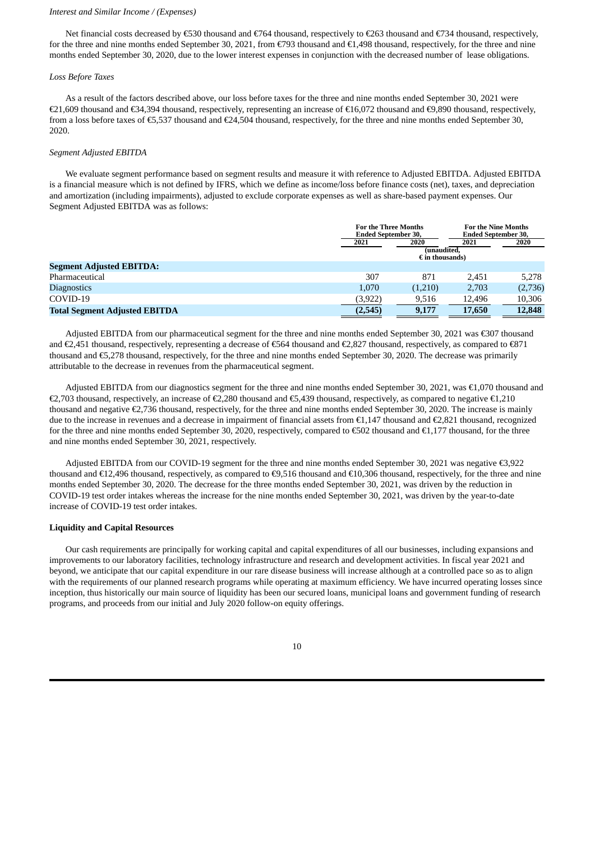#### *Interest and Similar Income / (Expenses)*

Net financial costs decreased by €530 thousand and €764 thousand, respectively to €263 thousand and €734 thousand, respectively, for the three and nine months ended September 30, 2021, from €793 thousand and €1,498 thousand, respectively, for the three and nine months ended September 30, 2020, due to the lower interest expenses in conjunction with the decreased number of lease obligations.

#### *Loss Before Taxes*

As a result of the factors described above, our loss before taxes for the three and nine months ended September 30, 2021 were €21,609 thousand and €34,394 thousand, respectively, representing an increase of €16,072 thousand and €9,890 thousand, respectively, from a loss before taxes of €5,537 thousand and €24,504 thousand, respectively, for the three and nine months ended September 30, 2020.

#### *Segment Adjusted EBITDA*

We evaluate segment performance based on segment results and measure it with reference to Adjusted EBITDA. Adjusted EBITDA is a financial measure which is not defined by IFRS, which we define as income/loss before finance costs (net), taxes, and depreciation and amortization (including impairments), adjusted to exclude corporate expenses as well as share-based payment expenses. Our Segment Adjusted EBITDA was as follows:

|                                      |          | <b>For the Three Months</b><br>Ended September 30, |        | <b>For the Nine Months</b><br><b>Ended September 30,</b> |  |
|--------------------------------------|----------|----------------------------------------------------|--------|----------------------------------------------------------|--|
|                                      | 2021     | 2020<br>(unaudited.                                | 2021   | 2020                                                     |  |
| <b>Segment Adjusted EBITDA:</b>      |          | $\epsilon$ in thousands)                           |        |                                                          |  |
| Pharmaceutical                       | 307      | 871                                                | 2.451  | 5.278                                                    |  |
| <b>Diagnostics</b>                   | 1.070    | (1,210)                                            | 2,703  | (2,736)                                                  |  |
| COVID-19                             | (3, 922) | 9,516                                              | 12.496 | 10,306                                                   |  |
| <b>Total Segment Adjusted EBITDA</b> | (2,545)  | 9,177                                              | 17,650 | 12,848                                                   |  |

Adjusted EBITDA from our pharmaceutical segment for the three and nine months ended September 30, 2021 was €307 thousand and €2,451 thousand, respectively, representing a decrease of €564 thousand and €2,827 thousand, respectively, as compared to €871 thousand and €5,278 thousand, respectively, for the three and nine months ended September 30, 2020. The decrease was primarily attributable to the decrease in revenues from the pharmaceutical segment.

Adjusted EBITDA from our diagnostics segment for the three and nine months ended September 30, 2021, was €1,070 thousand and €2,703 thousand, respectively, an increase of €2,280 thousand and €5,439 thousand, respectively, as compared to negative €1,210 thousand and negative €2,736 thousand, respectively, for the three and nine months ended September 30, 2020. The increase is mainly due to the increase in revenues and a decrease in impairment of financial assets from €1,147 thousand and €2,821 thousand, recognized for the three and nine months ended September 30, 2020, respectively, compared to  $\epsilon$ 502 thousand and  $\epsilon$ 1,177 thousand, for the three and nine months ended September 30, 2021, respectively.

Adjusted EBITDA from our COVID-19 segment for the three and nine months ended September 30, 2021 was negative €3,922 thousand and €12,496 thousand, respectively, as compared to €9,516 thousand and €10,306 thousand, respectively, for the three and nine months ended September 30, 2020. The decrease for the three months ended September 30, 2021, was driven by the reduction in COVID-19 test order intakes whereas the increase for the nine months ended September 30, 2021, was driven by the year-to-date increase of COVID-19 test order intakes.

#### **Liquidity and Capital Resources**

Our cash requirements are principally for working capital and capital expenditures of all our businesses, including expansions and improvements to our laboratory facilities, technology infrastructure and research and development activities. In fiscal year 2021 and beyond, we anticipate that our capital expenditure in our rare disease business will increase although at a controlled pace so as to align with the requirements of our planned research programs while operating at maximum efficiency. We have incurred operating losses since inception, thus historically our main source of liquidity has been our secured loans, municipal loans and government funding of research programs, and proceeds from our initial and July 2020 follow-on equity offerings.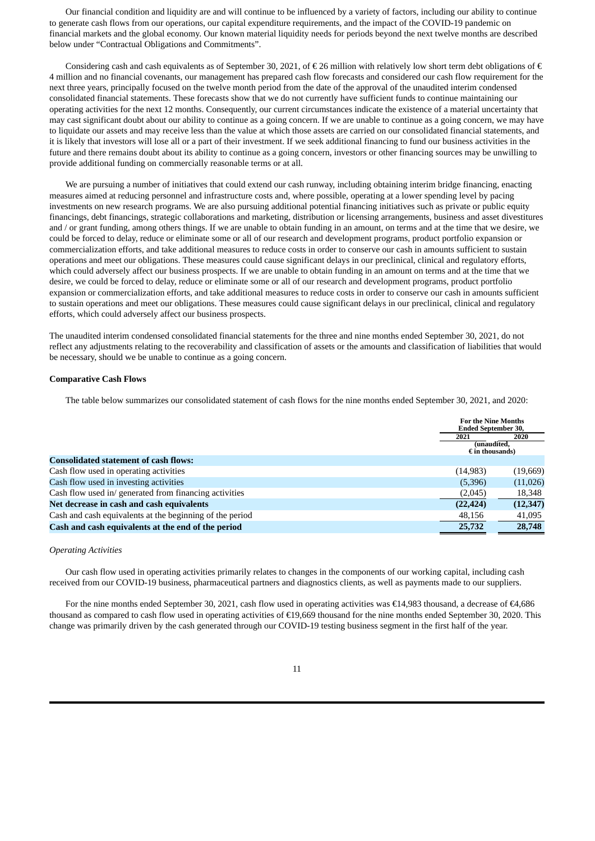Our financial condition and liquidity are and will continue to be influenced by a variety of factors, including our ability to continue to generate cash flows from our operations, our capital expenditure requirements, and the impact of the COVID-19 pandemic on financial markets and the global economy. Our known material liquidity needs for periods beyond the next twelve months are described below under "Contractual Obligations and Commitments".

Considering cash and cash equivalents as of September 30, 2021, of  $\epsilon$  26 million with relatively low short term debt obligations of  $\epsilon$ 4 million and no financial covenants, our management has prepared cash flow forecasts and considered our cash flow requirement for the next three years, principally focused on the twelve month period from the date of the approval of the unaudited interim condensed consolidated financial statements. These forecasts show that we do not currently have sufficient funds to continue maintaining our operating activities for the next 12 months. Consequently, our current circumstances indicate the existence of a material uncertainty that may cast significant doubt about our ability to continue as a going concern. If we are unable to continue as a going concern, we may have to liquidate our assets and may receive less than the value at which those assets are carried on our consolidated financial statements, and it is likely that investors will lose all or a part of their investment. If we seek additional financing to fund our business activities in the future and there remains doubt about its ability to continue as a going concern, investors or other financing sources may be unwilling to provide additional funding on commercially reasonable terms or at all.

We are pursuing a number of initiatives that could extend our cash runway, including obtaining interim bridge financing, enacting measures aimed at reducing personnel and infrastructure costs and, where possible, operating at a lower spending level by pacing investments on new research programs. We are also pursuing additional potential financing initiatives such as private or public equity financings, debt financings, strategic collaborations and marketing, distribution or licensing arrangements, business and asset divestitures and / or grant funding, among others things. If we are unable to obtain funding in an amount, on terms and at the time that we desire, we could be forced to delay, reduce or eliminate some or all of our research and development programs, product portfolio expansion or commercialization efforts, and take additional measures to reduce costs in order to conserve our cash in amounts sufficient to sustain operations and meet our obligations. These measures could cause significant delays in our preclinical, clinical and regulatory efforts, which could adversely affect our business prospects. If we are unable to obtain funding in an amount on terms and at the time that we desire, we could be forced to delay, reduce or eliminate some or all of our research and development programs, product portfolio expansion or commercialization efforts, and take additional measures to reduce costs in order to conserve our cash in amounts sufficient to sustain operations and meet our obligations. These measures could cause significant delays in our preclinical, clinical and regulatory efforts, which could adversely affect our business prospects.

The unaudited interim condensed consolidated financial statements for the three and nine months ended September 30, 2021, do not reflect any adjustments relating to the recoverability and classification of assets or the amounts and classification of liabilities that would be necessary, should we be unable to continue as a going concern.

#### **Comparative Cash Flows**

The table below summarizes our consolidated statement of cash flows for the nine months ended September 30, 2021, and 2020:

|                                                          |                                         | <b>For the Nine Months</b><br><b>Ended September 30,</b> |  |  |
|----------------------------------------------------------|-----------------------------------------|----------------------------------------------------------|--|--|
|                                                          | 2021                                    | 2020                                                     |  |  |
|                                                          | (unaudited.<br>$\epsilon$ in thousands) |                                                          |  |  |
| <b>Consolidated statement of cash flows:</b>             |                                         |                                                          |  |  |
| Cash flow used in operating activities                   | (14, 983)                               | (19,669)                                                 |  |  |
| Cash flow used in investing activities                   | (5,396)                                 | (11,026)                                                 |  |  |
| Cash flow used in/ generated from financing activities   | (2,045)                                 | 18,348                                                   |  |  |
| Net decrease in cash and cash equivalents                | (22, 424)                               | (12, 347)                                                |  |  |
| Cash and cash equivalents at the beginning of the period | 48,156                                  | 41,095                                                   |  |  |
| Cash and cash equivalents at the end of the period       | 25,732                                  | 28,748                                                   |  |  |

#### *Operating Activities*

Our cash flow used in operating activities primarily relates to changes in the components of our working capital, including cash received from our COVID-19 business, pharmaceutical partners and diagnostics clients, as well as payments made to our suppliers.

For the nine months ended September 30, 2021, cash flow used in operating activities was €14,983 thousand, a decrease of €4,686 thousand as compared to cash flow used in operating activities of €19,669 thousand for the nine months ended September 30, 2020. This change was primarily driven by the cash generated through our COVID-19 testing business segment in the first half of the year.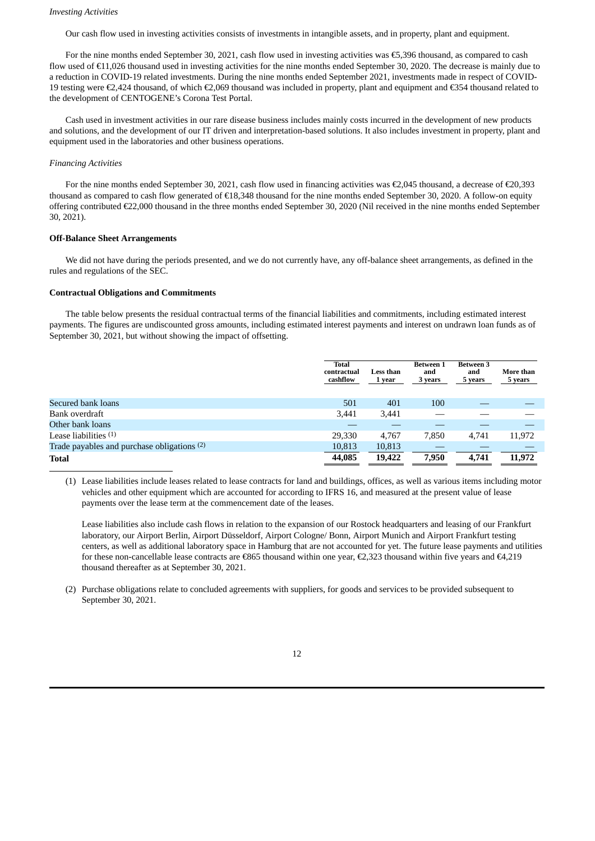#### *Investing Activities*

Our cash flow used in investing activities consists of investments in intangible assets, and in property, plant and equipment.

For the nine months ended September 30, 2021, cash flow used in investing activities was €5,396 thousand, as compared to cash flow used of €11,026 thousand used in investing activities for the nine months ended September 30, 2020. The decrease is mainly due to a reduction in COVID-19 related investments. During the nine months ended September 2021, investments made in respect of COVID-19 testing were €2,424 thousand, of which €2,069 thousand was included in property, plant and equipment and €354 thousand related to the development of CENTOGENE's Corona Test Portal.

Cash used in investment activities in our rare disease business includes mainly costs incurred in the development of new products and solutions, and the development of our IT driven and interpretation-based solutions. It also includes investment in property, plant and equipment used in the laboratories and other business operations.

#### *Financing Activities*

For the nine months ended September 30, 2021, cash flow used in financing activities was €2,045 thousand, a decrease of €20,393 thousand as compared to cash flow generated of €18,348 thousand for the nine months ended September 30, 2020. A follow-on equity offering contributed €22,000 thousand in the three months ended September 30, 2020 (Nil received in the nine months ended September 30, 2021).

## **Off-Balance Sheet Arrangements**

We did not have during the periods presented, and we do not currently have, any off-balance sheet arrangements, as defined in the rules and regulations of the SEC.

#### **Contractual Obligations and Commitments**

The table below presents the residual contractual terms of the financial liabilities and commitments, including estimated interest payments. The figures are undiscounted gross amounts, including estimated interest payments and interest on undrawn loan funds as of September 30, 2021, but without showing the impact of offsetting.

|                                             | <b>Total</b><br>contractual<br>cashflow | <b>Less than</b><br>1 year | <b>Between 1</b><br>and<br>3 years | <b>Between 3</b><br>and<br>5 years | More than<br>5 years |
|---------------------------------------------|-----------------------------------------|----------------------------|------------------------------------|------------------------------------|----------------------|
| Secured bank loans                          | 501                                     | 401                        | 100                                |                                    |                      |
| Bank overdraft                              | 3,441                                   | 3,441                      |                                    |                                    |                      |
| Other bank loans                            |                                         |                            |                                    |                                    |                      |
| Lease liabilities $(1)$                     | 29,330                                  | 4.767                      | 7.850                              | 4.741                              | 11,972               |
| Trade payables and purchase obligations (2) | 10,813                                  | 10,813                     |                                    |                                    |                      |
| <b>Total</b>                                | 44,085                                  | 19,422                     | 7,950                              | 4,741                              | 11,972               |

(1) Lease liabilities include leases related to lease contracts for land and buildings, offices, as well as various items including motor vehicles and other equipment which are accounted for according to IFRS 16, and measured at the present value of lease payments over the lease term at the commencement date of the leases.

Lease liabilities also include cash flows in relation to the expansion of our Rostock headquarters and leasing of our Frankfurt laboratory, our Airport Berlin, Airport Düsseldorf, Airport Cologne/ Bonn, Airport Munich and Airport Frankfurt testing centers, as well as additional laboratory space in Hamburg that are not accounted for yet. The future lease payments and utilities for these non-cancellable lease contracts are €865 thousand within one year, €2,323 thousand within five years and €4,219 thousand thereafter as at September 30, 2021.

(2) Purchase obligations relate to concluded agreements with suppliers, for goods and services to be provided subsequent to September 30, 2021.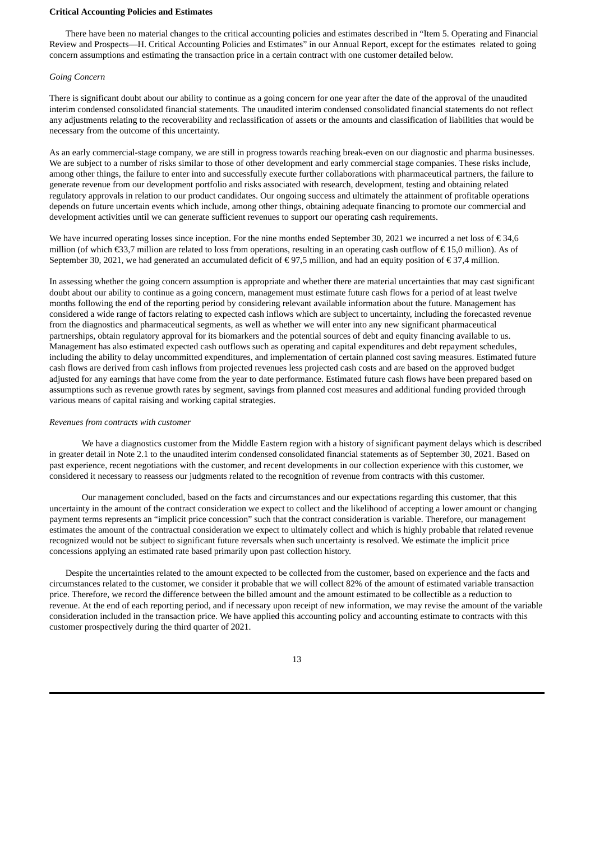#### **Critical Accounting Policies and Estimates**

There have been no material changes to the critical accounting policies and estimates described in "Item 5. Operating and Financial Review and Prospects—H. Critical Accounting Policies and Estimates" in our Annual Report, except for the estimates related to going concern assumptions and estimating the transaction price in a certain contract with one customer detailed below.

#### *Going Concern*

There is significant doubt about our ability to continue as a going concern for one year after the date of the approval of the unaudited interim condensed consolidated financial statements. The unaudited interim condensed consolidated financial statements do not reflect any adjustments relating to the recoverability and reclassification of assets or the amounts and classification of liabilities that would be necessary from the outcome of this uncertainty.

As an early commercial-stage company, we are still in progress towards reaching break-even on our diagnostic and pharma businesses. We are subject to a number of risks similar to those of other development and early commercial stage companies. These risks include, among other things, the failure to enter into and successfully execute further collaborations with pharmaceutical partners, the failure to generate revenue from our development portfolio and risks associated with research, development, testing and obtaining related regulatory approvals in relation to our product candidates. Our ongoing success and ultimately the attainment of profitable operations depends on future uncertain events which include, among other things, obtaining adequate financing to promote our commercial and development activities until we can generate sufficient revenues to support our operating cash requirements.

We have incurred operating losses since inception. For the nine months ended September 30, 2021 we incurred a net loss of  $\epsilon$  34.6 million (of which  $\epsilon$ 33,7 million are related to loss from operations, resulting in an operating cash outflow of  $\epsilon$  15,0 million). As of September 30, 2021, we had generated an accumulated deficit of € 97,5 million, and had an equity position of € 37,4 million.

In assessing whether the going concern assumption is appropriate and whether there are material uncertainties that may cast significant doubt about our ability to continue as a going concern, management must estimate future cash flows for a period of at least twelve months following the end of the reporting period by considering relevant available information about the future. Management has considered a wide range of factors relating to expected cash inflows which are subject to uncertainty, including the forecasted revenue from the diagnostics and pharmaceutical segments, as well as whether we will enter into any new significant pharmaceutical partnerships, obtain regulatory approval for its biomarkers and the potential sources of debt and equity financing available to us. Management has also estimated expected cash outflows such as operating and capital expenditures and debt repayment schedules, including the ability to delay uncommitted expenditures, and implementation of certain planned cost saving measures. Estimated future cash flows are derived from cash inflows from projected revenues less projected cash costs and are based on the approved budget adjusted for any earnings that have come from the year to date performance. Estimated future cash flows have been prepared based on assumptions such as revenue growth rates by segment, savings from planned cost measures and additional funding provided through various means of capital raising and working capital strategies.

### *Revenues from contracts with customer*

We have a diagnostics customer from the Middle Eastern region with a history of significant payment delays which is described in greater detail in Note 2.1 to the unaudited interim condensed consolidated financial statements as of September 30, 2021. Based on past experience, recent negotiations with the customer, and recent developments in our collection experience with this customer, we considered it necessary to reassess our judgments related to the recognition of revenue from contracts with this customer.

Our management concluded, based on the facts and circumstances and our expectations regarding this customer, that this uncertainty in the amount of the contract consideration we expect to collect and the likelihood of accepting a lower amount or changing payment terms represents an "implicit price concession" such that the contract consideration is variable. Therefore, our management estimates the amount of the contractual consideration we expect to ultimately collect and which is highly probable that related revenue recognized would not be subject to significant future reversals when such uncertainty is resolved. We estimate the implicit price concessions applying an estimated rate based primarily upon past collection history.

Despite the uncertainties related to the amount expected to be collected from the customer, based on experience and the facts and circumstances related to the customer, we consider it probable that we will collect 82% of the amount of estimated variable transaction price. Therefore, we record the difference between the billed amount and the amount estimated to be collectible as a reduction to revenue. At the end of each reporting period, and if necessary upon receipt of new information, we may revise the amount of the variable consideration included in the transaction price. We have applied this accounting policy and accounting estimate to contracts with this customer prospectively during the third quarter of 2021.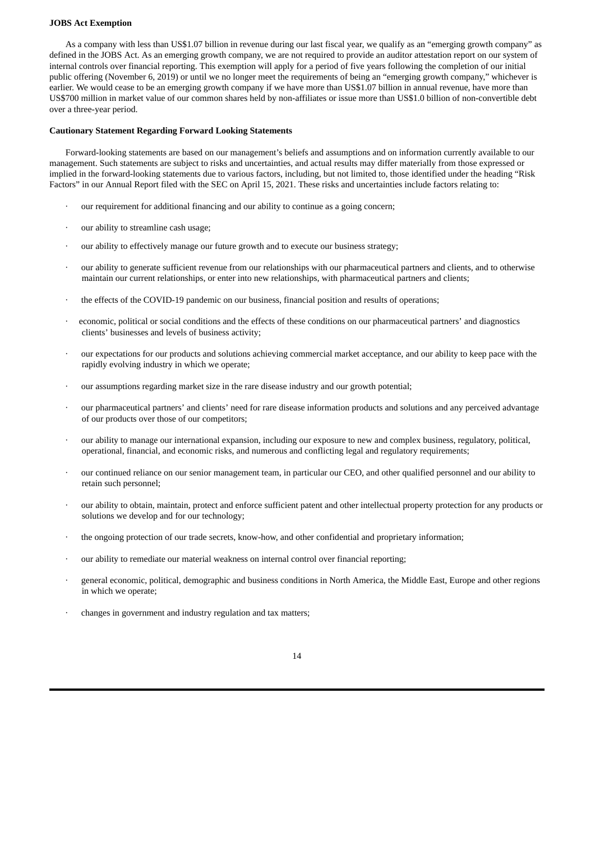#### **JOBS Act Exemption**

As a company with less than US\$1.07 billion in revenue during our last fiscal year, we qualify as an "emerging growth company" as defined in the JOBS Act. As an emerging growth company, we are not required to provide an auditor attestation report on our system of internal controls over financial reporting. This exemption will apply for a period of five years following the completion of our initial public offering (November 6, 2019) or until we no longer meet the requirements of being an "emerging growth company," whichever is earlier. We would cease to be an emerging growth company if we have more than US\$1.07 billion in annual revenue, have more than US\$700 million in market value of our common shares held by non-affiliates or issue more than US\$1.0 billion of non-convertible debt over a three-year period.

#### **Cautionary Statement Regarding Forward Looking Statements**

Forward-looking statements are based on our management's beliefs and assumptions and on information currently available to our management. Such statements are subject to risks and uncertainties, and actual results may differ materially from those expressed or implied in the forward-looking statements due to various factors, including, but not limited to, those identified under the heading "Risk Factors" in our Annual Report filed with the SEC on April 15, 2021. These risks and uncertainties include factors relating to:

- our requirement for additional financing and our ability to continue as a going concern;
- · our ability to streamline cash usage;
- our ability to effectively manage our future growth and to execute our business strategy;
- our ability to generate sufficient revenue from our relationships with our pharmaceutical partners and clients, and to otherwise maintain our current relationships, or enter into new relationships, with pharmaceutical partners and clients;
- the effects of the COVID-19 pandemic on our business, financial position and results of operations;
- · economic, political or social conditions and the effects of these conditions on our pharmaceutical partners' and diagnostics clients' businesses and levels of business activity;
- our expectations for our products and solutions achieving commercial market acceptance, and our ability to keep pace with the rapidly evolving industry in which we operate;
- · our assumptions regarding market size in the rare disease industry and our growth potential;
- · our pharmaceutical partners' and clients' need for rare disease information products and solutions and any perceived advantage of our products over those of our competitors;
- · our ability to manage our international expansion, including our exposure to new and complex business, regulatory, political, operational, financial, and economic risks, and numerous and conflicting legal and regulatory requirements;
- · our continued reliance on our senior management team, in particular our CEO, and other qualified personnel and our ability to retain such personnel;
- · our ability to obtain, maintain, protect and enforce sufficient patent and other intellectual property protection for any products or solutions we develop and for our technology;
- the ongoing protection of our trade secrets, know-how, and other confidential and proprietary information;
- our ability to remediate our material weakness on internal control over financial reporting;
- · general economic, political, demographic and business conditions in North America, the Middle East, Europe and other regions in which we operate;
- · changes in government and industry regulation and tax matters;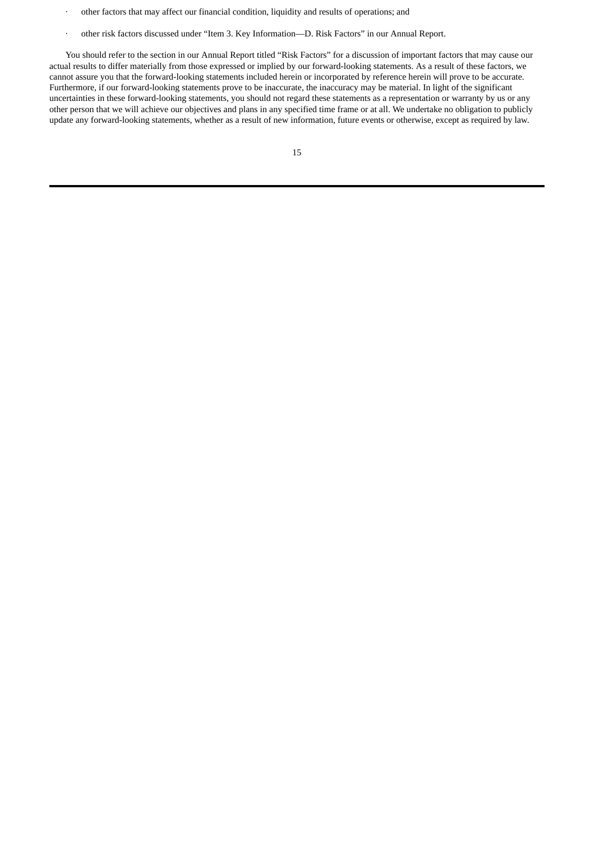- · other factors that may affect our financial condition, liquidity and results of operations; and
- · other risk factors discussed under "Item 3. Key Information—D. Risk Factors" in our Annual Report.

You should refer to the section in our Annual Report titled "Risk Factors" for a discussion of important factors that may cause our actual results to differ materially from those expressed or implied by our forward-looking statements. As a result of these factors, we cannot assure you that the forward-looking statements included herein or incorporated by reference herein will prove to be accurate. Furthermore, if our forward-looking statements prove to be inaccurate, the inaccuracy may be material. In light of the significant uncertainties in these forward-looking statements, you should not regard these statements as a representation or warranty by us or any other person that we will achieve our objectives and plans in any specified time frame or at all. We undertake no obligation to publicly update any forward-looking statements, whether as a result of new information, future events or otherwise, except as required by law.